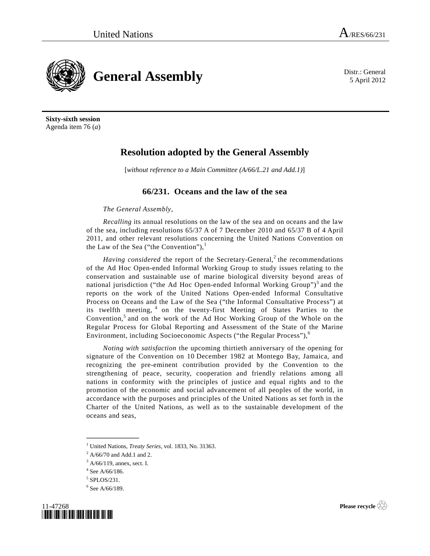

**Sixty-sixth session**  Agenda item 76 (*a*)

# **Resolution adopted by the General Assembly**

[*without reference to a Main Committee (A/66/L.21 and Add.1)*]

## **66/231. Oceans and the law of the sea**

*The General Assembly*,

*Recalling* its annual resolutions on the law of the sea and on oceans and the law of the sea, including resolutions 65/37 A of 7 December 2010 and 65/37 B of 4 April 2011, and other relevant resolutions concerning the United Nations Convention on the Law of the Sea ("the Convention"), $<sup>1</sup>$ </sup>

*Having considered* the report of the Secretary-General,<sup>2</sup> the recommendations of the Ad Hoc Open-ended Informal Working Group to study issues relating to the conservation and sustainable use of marine biological diversity beyond areas of national jurisdiction ("the Ad Hoc Open-ended Informal Working Group")<sup>3</sup> and the reports on the work of the United Nations Open-ended Informal Consultative Process on Oceans and the Law of the Sea ("the Informal Consultative Process") at its twelfth meeting, <sup>4</sup> on the twenty-first Meeting of States Parties to the Convention,<sup>5</sup> and on the work of the Ad Hoc Working Group of the Whole on the Regular Process for Global Reporting and Assessment of the State of the Marine Environment, including Socioeconomic Aspects ("the Regular Process"),<sup>6</sup>

*Noting with satisfaction* the upcoming thirtieth anniversary of the opening for signature of the Convention on 10 December 1982 at Montego Bay, Jamaica, and recognizing the pre-eminent contribution provided by the Convention to the strengthening of peace, security, cooperation and friendly relations among all nations in conformity with the principles of justice and equal rights and to the promotion of the economic and social advancement of all peoples of the world, in accordance with the purposes and principles of the United Nations as set forth in the Charter of the United Nations, as well as to the sustainable development of the oceans and seas,

**\_\_\_\_\_\_\_\_\_\_\_\_\_\_\_** 

<sup>6</sup> See A/66/189.





5 April 2012

<sup>&</sup>lt;sup>1</sup> United Nations, *Treaty Series*, vol. 1833, No. 31363.

 $^{2}$  A/66/70 and Add.1 and 2.

 $3$  A/66/119, annex, sect. I.

<sup>4</sup> See A/66/186.

<sup>5</sup> SPLOS/231.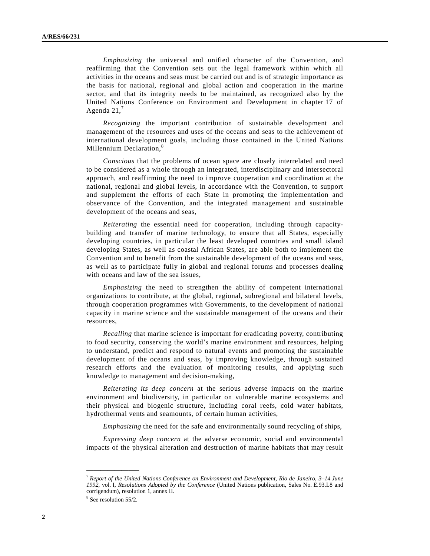*Emphasizing* the universal and unified character of the Convention, and reaffirming that the Convention sets out the legal framework within which all activities in the oceans and seas must be carried out and is of strategic importance as the basis for national, regional and global action and cooperation in the marine sector, and that its integrity needs to be maintained, as recognized also by the United Nations Conference on Environment and Development in chapter 17 of Agenda  $21<sup>7</sup>$ 

*Recognizing* the important contribution of sustainable development and management of the resources and uses of the oceans and seas to the achievement of international development goals, including those contained in the United Nations Millennium Declaration.<sup>8</sup>

*Conscious* that the problems of ocean space are closely interrelated and need to be considered as a whole through an integrated, interdisciplinary and intersectoral approach, and reaffirming the need to improve cooperation and coordination at the national, regional and global levels, in accordance with the Convention, to support and supplement the efforts of each State in promoting the implementation and observance of the Convention, and the integrated management and sustainable development of the oceans and seas,

*Reiterating* the essential need for cooperation, including through capacitybuilding and transfer of marine technology, to ensure that all States, especially developing countries, in particular the least developed countries and small island developing States, as well as coastal African States, are able both to implement the Convention and to benefit from the sustainable development of the oceans and seas, as well as to participate fully in global and regional forums and processes dealing with oceans and law of the sea issues,

*Emphasizing* the need to strengthen the ability of competent international organizations to contribute, at the global, regional, subregional and bilateral levels, through cooperation programmes with Governments, to the development of national capacity in marine science and the sustainable management of the oceans and their resources,

*Recalling* that marine science is important for eradicating poverty, contributing to food security, conserving the world's marine environment and resources, helping to understand, predict and respond to natural events and promoting the sustainable development of the oceans and seas, by improving knowledge, through sustained research efforts and the evaluation of monitoring results, and applying such knowledge to management and decision-making,

*Reiterating its deep concern* at the serious adverse impacts on the marine environment and biodiversity, in particular on vulnerable marine ecosystems and their physical and biogenic structure, including coral reefs, cold water habitats, hydrothermal vents and seamounts, of certain human activities,

*Emphasizing* the need for the safe and environmentally sound recycling of ships,

*Expressing deep concern* at the adverse economic, social and environmental impacts of the physical alteration and destruction of marine habitats that may result

<sup>7</sup> *Report of the United Nations Conference on Environment and Development, Rio de Janeiro, 3–14 June 1992,* vol. I, *Resolutions Adopted by the Conference* (United Nations publication, Sales No. E.93.I.8 and corrigendum), resolution 1, annex II.

<sup>8</sup> See resolution 55/2.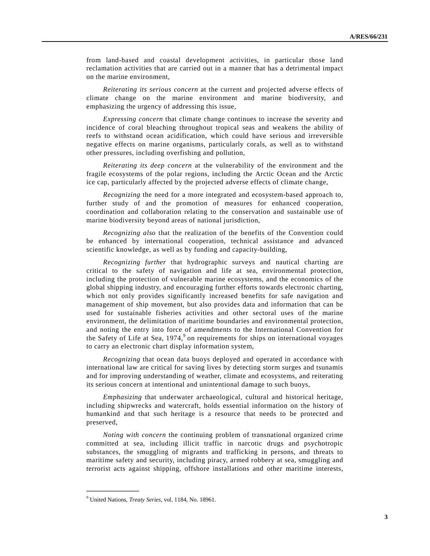from land-based and coastal development activities, in particular those land reclamation activities that are carried out in a manner that has a detrimental impact on the marine environment,

*Reiterating its serious concern* at the current and projected adverse effects of climate change on the marine environment and marine biodiversity, and emphasizing the urgency of addressing this issue,

*Expressing concern* that climate change continues to increase the severity and incidence of coral bleaching throughout tropical seas and weakens the ability of reefs to withstand ocean acidification, which could have serious and irreversible negative effects on marine organisms, particularly corals, as well as to withstand other pressures, including overfishing and pollution,

*Reiterating its deep concern* at the vulnerability of the environment and the fragile ecosystems of the polar regions, including the Arctic Ocean and the Arctic ice cap, particularly affected by the projected adverse effects of climate change,

*Recognizing* the need for a more integrated and ecosystem-based approach to, further study of and the promotion of measures for enhanced cooperation, coordination and collaboration relating to the conservation and sustainable use of marine biodiversity beyond areas of national jurisdiction,

*Recognizing also* that the realization of the benefits of the Convention could be enhanced by international cooperation, technical assistance and advanced scientific knowledge, as well as by funding and capacity-building,

*Recognizing further* that hydrographic surveys and nautical charting are critical to the safety of navigation and life at sea, environmental protection, including the protection of vulnerable marine ecosystems, and the economics of the global shipping industry, and encouraging further efforts towards electronic charting, which not only provides significantly increased benefits for safe navigation and management of ship movement, but also provides data and information that can be used for sustainable fisheries activities and other sectoral uses of the marine environment, the delimitation of maritime boundaries and environmental protection, and noting the entry into force of amendments to the International Convention for the Safety of Life at Sea, 1974,<sup>9</sup> on requirements for ships on international voyages to carry an electronic chart display information system,

*Recognizing* that ocean data buoys deployed and operated in accordance with international law are critical for saving lives by detecting storm surges and tsunamis and for improving understanding of weather, climate and ecosystems, and reiterating its serious concern at intentional and unintentional damage to such buoys,

*Emphasizing* that underwater archaeological, cultural and historical heritage, including shipwrecks and watercraft, holds essential information on the history of humankind and that such heritage is a resource that needs to be protected and preserved,

*Noting with concern* the continuing problem of transnational organized crime committed at sea, including illicit traffic in narcotic drugs and psychotropic substances, the smuggling of migrants and trafficking in persons, and threats to maritime safety and security, including piracy, armed robbery at sea, smuggling and terrorist acts against shipping, offshore installations and other maritime interests,

<sup>9</sup> United Nations, *Treaty Series*, vol. 1184, No. 18961.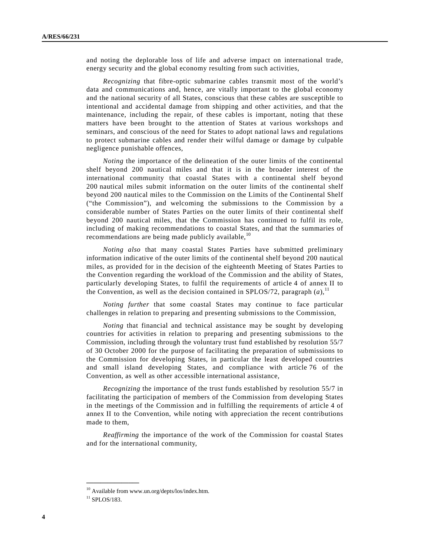and noting the deplorable loss of life and adverse impact on international trade, energy security and the global economy resulting from such activities,

*Recognizing* that fibre-optic submarine cables transmit most of the world's data and communications and, hence, are vitally important to the global economy and the national security of all States, conscious that these cables are susceptible to intentional and accidental damage from shipping and other activities, and that the maintenance, including the repair, of these cables is important, noting that these matters have been brought to the attention of States at various workshops and seminars, and conscious of the need for States to adopt national laws and regulations to protect submarine cables and render their wilful damage or damage by culpable negligence punishable offences,

*Noting* the importance of the delineation of the outer limits of the continental shelf beyond 200 nautical miles and that it is in the broader interest of the international community that coastal States with a continental shelf beyond 200 nautical miles submit information on the outer limits of the continental shelf beyond 200 nautical miles to the Commission on the Limits of the Continental Shelf ("the Commission"), and welcoming the submissions to the Commission by a considerable number of States Parties on the outer limits of their continental shelf beyond 200 nautical miles, that the Commission has continued to fulfil its role, including of making recommendations to coastal States, and that the summaries of recommendations are being made publicly available, $^{10}$ 

*Noting also* that many coastal States Parties have submitted preliminary information indicative of the outer limits of the continental shelf beyond 200 nautical miles, as provided for in the decision of the eighteenth Meeting of States Parties to the Convention regarding the workload of the Commission and the ability of States, particularly developing States, to fulfil the requirements of article 4 of annex II to the Convention, as well as the decision contained in SPLOS/72, paragraph  $(a)$ ,  $(1)$ 

*Noting further* that some coastal States may continue to face particular challenges in relation to preparing and presenting submissions to the Commission,

*Noting* that financial and technical assistance may be sought by developing countries for activities in relation to preparing and presenting submissions to the Commission, including through the voluntary trust fund established by resolution 55/7 of 30 October 2000 for the purpose of facilitating the preparation of submissions to the Commission for developing States, in particular the least developed countries and small island developing States, and compliance with article 76 of the Convention, as well as other accessible international assistance,

*Recognizing* the importance of the trust funds established by resolution 55/7 in facilitating the participation of members of the Commission from developing States in the meetings of the Commission and in fulfilling the requirements of article 4 of annex II to the Convention, while noting with appreciation the recent contributions made to them,

*Reaffirming* the importance of the work of the Commission for coastal States and for the international community,

 $^{10}$  Available from www.un.org/depts/los/index.htm.

 $11$  SPLOS/183.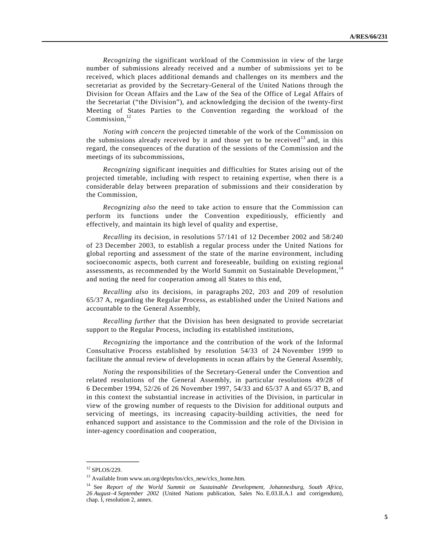*Recognizing* the significant workload of the Commission in view of the large number of submissions already received and a number of submissions yet to be received, which places additional demands and challenges on its members and the secretariat as provided by the Secretary-General of the United Nations through the Division for Ocean Affairs and the Law of the Sea of the Office of Legal Affairs of the Secretariat ("the Division"), and acknowledging the decision of the twenty-first Meeting of States Parties to the Convention regarding the workload of the Commission. $^{12}$ 

*Noting with concern* the projected timetable of the work of the Commission on the submissions already received by it and those yet to be received<sup>13</sup> and, in this regard, the consequences of the duration of the sessions of the Commission and the meetings of its subcommissions,

*Recognizing* significant inequities and difficulties for States arising out of the projected timetable, including with respect to retaining expertise, when there is a considerable delay between preparation of submissions and their consideration by the Commission,

*Recognizing also* the need to take action to ensure that the Commission can perform its functions under the Convention expeditiously, efficiently and effectively, and maintain its high level of quality and expertise,

*Recalling* its decision, in resolutions 57/141 of 12 December 2002 and 58/240 of 23 December 2003, to establish a regular process under the United Nations for global reporting and assessment of the state of the marine environment, including socioeconomic aspects, both current and foreseeable, building on existing regional assessments, as recommended by the World Summit on Sustainable Development,<sup>14</sup> and noting the need for cooperation among all States to this end,

*Recalling also* its decisions, in paragraphs 202, 203 and 209 of resolution 65/37 A, regarding the Regular Process, as established under the United Nations and accountable to the General Assembly,

*Recalling further* that the Division has been designated to provide secretariat support to the Regular Process, including its established institutions,

*Recognizing* the importance and the contribution of the work of the Informal Consultative Process established by resolution 54/33 of 24 November 1999 to facilitate the annual review of developments in ocean affairs by the General Assembly,

*Noting* the responsibilities of the Secretary-General under the Convention and related resolutions of the General Assembly, in particular resolutions 49/28 of 6 December 1994, 52/26 of 26 November 1997, 54/33 and 65/37 A and 65/37 B, and in this context the substantial increase in activities of the Division, in particular in view of the growing number of requests to the Division for additional outputs and servicing of meetings, its increasing capacity-building activities, the need for enhanced support and assistance to the Commission and the role of the Division in inter-agency coordination and cooperation,

<sup>12</sup> SPLOS/229.

 $^{13}$  Available from www.un.org/depts/los/clcs\_new/clcs\_home.htm.

<sup>14</sup> See *Report of the World Summit on Sustainable Development, Johannesburg, South Africa, 26 August–4 September 2002* (United Nations publication, Sales No. E.03.II.A.1 and corrigendum), chap. I, resolution 2, annex.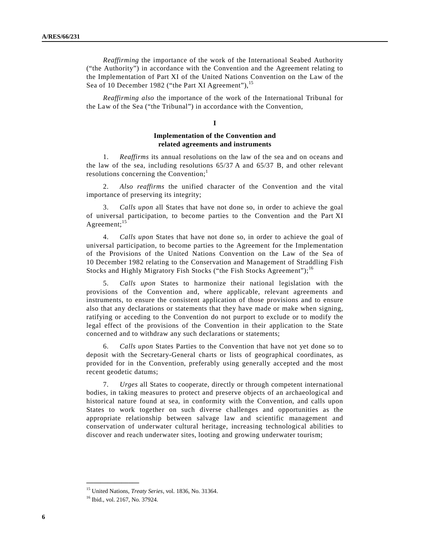*Reaffirming* the importance of the work of the International Seabed Authority ("the Authority") in accordance with the Convention and the Agreement relating to the Implementation of Part XI of the United Nations Convention on the Law of the Sea of 10 December 1982 ("the Part XI Agreement").<sup>15</sup>

*Reaffirming also* the importance of the work of the International Tribunal for the Law of the Sea ("the Tribunal") in accordance with the Convention,

### **I**

### **Implementation of the Convention and related agreements and instruments**

 1. *Reaffirms* its annual resolutions on the law of the sea and on oceans and the law of the sea, including resolutions 65/37 A and 65/37 B, and other relevant resolutions concerning the Convention;<sup>1</sup>

 2. *Also reaffirms* the unified character of the Convention and the vital importance of preserving its integrity;

 3. *Calls upon* all States that have not done so, in order to achieve the goal of universal participation, to become parties to the Convention and the Part XI Agreement;<sup>15</sup>

 4. *Calls upon* States that have not done so, in order to achieve the goal of universal participation, to become parties to the Agreement for the Implementation of the Provisions of the United Nations Convention on the Law of the Sea of 10 December 1982 relating to the Conservation and Management of Straddling Fish Stocks and Highly Migratory Fish Stocks ("the Fish Stocks Agreement");<sup>16</sup>

 5. *Calls upon* States to harmonize their national legislation with the provisions of the Convention and, where applicable, relevant agreements and instruments, to ensure the consistent application of those provisions and to ensure also that any declarations or statements that they have made or make when signing, ratifying or acceding to the Convention do not purport to exclude or to modify the legal effect of the provisions of the Convention in their application to the State concerned and to withdraw any such declarations or statements;

 6. *Calls upon* States Parties to the Convention that have not yet done so to deposit with the Secretary-General charts or lists of geographical coordinates, as provided for in the Convention, preferably using generally accepted and the most recent geodetic datums;

 7. *Urges* all States to cooperate, directly or through competent international bodies, in taking measures to protect and preserve objects of an archaeological and historical nature found at sea, in conformity with the Convention, and calls upon States to work together on such diverse challenges and opportunities as the appropriate relationship between salvage law and scientific management and conservation of underwater cultural heritage, increasing technological abilities to discover and reach underwater sites, looting and growing underwater tourism;

<sup>15</sup> United Nations, *Treaty Series*, vol. 1836, No. 31364.

<sup>16</sup> Ibid., vol. 2167, No. 37924.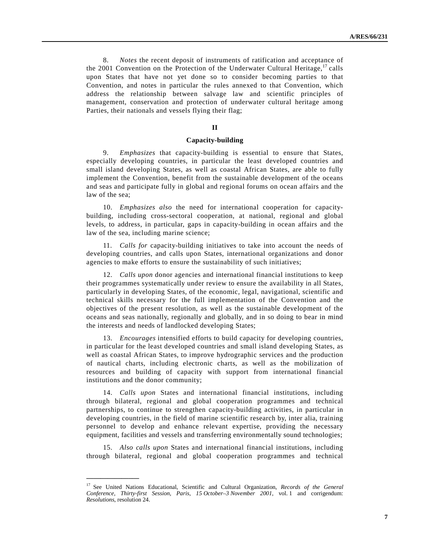8. *Notes* the recent deposit of instruments of ratification and acceptance of the 2001 Convention on the Protection of the Underwater Cultural Heritage,  $^{17}$  calls upon States that have not yet done so to consider becoming parties to that Convention, and notes in particular the rules annexed to that Convention, which address the relationship between salvage law and scientific principles of management, conservation and protection of underwater cultural heritage among Parties, their nationals and vessels flying their flag;

### **II**

### **Capacity-building**

 9. *Emphasizes* that capacity-building is essential to ensure that States, especially developing countries, in particular the least developed countries and small island developing States, as well as coastal African States, are able to fully implement the Convention, benefit from the sustainable development of the oceans and seas and participate fully in global and regional forums on ocean affairs and the law of the sea;

 10. *Emphasizes also* the need for international cooperation for capacitybuilding, including cross-sectoral cooperation, at national, regional and global levels, to address, in particular, gaps in capacity-building in ocean affairs and the law of the sea, including marine science;

 11. *Calls for* capacity-building initiatives to take into account the needs of developing countries, and calls upon States, international organizations and donor agencies to make efforts to ensure the sustainability of such initiatives;

 12. *Calls upon* donor agencies and international financial institutions to keep their programmes systematically under review to ensure the availability in all States, particularly in developing States, of the economic, legal, navigational, scientific and technical skills necessary for the full implementation of the Convention and the objectives of the present resolution, as well as the sustainable development of the oceans and seas nationally, regionally and globally, and in so doing to bear in mind the interests and needs of landlocked developing States;

 13. *Encourages* intensified efforts to build capacity for developing countries, in particular for the least developed countries and small island developing States, as well as coastal African States, to improve hydrographic services and the production of nautical charts, including electronic charts, as well as the mobilization of resources and building of capacity with support from international financial institutions and the donor community;

 14. *Calls upon* States and international financial institutions, including through bilateral, regional and global cooperation programmes and technical partnerships, to continue to strengthen capacity-building activities, in particular in developing countries, in the field of marine scientific research by, inter alia, training personnel to develop and enhance relevant expertise, providing the necessary equipment, facilities and vessels and transferring environmentally sound technologies;

 15. *Also calls upon* States and international financial institutions, including through bilateral, regional and global cooperation programmes and technical

<sup>&</sup>lt;sup>17</sup> See United Nations Educational, Scientific and Cultural Organization, *Records of the General Conference, Thirty-first Session, Paris, 15 October–3 November 2001*, vol. 1 and corrigendum: *Resolutions*, resolution 24.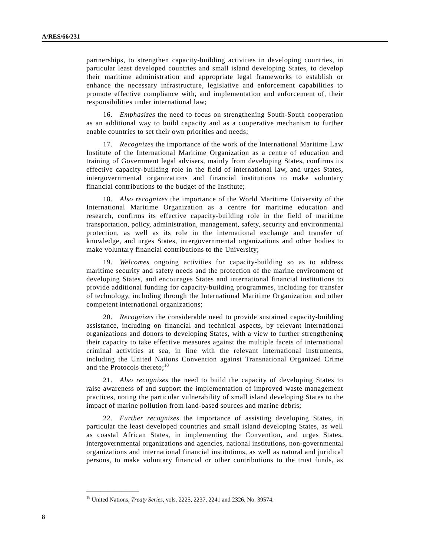partnerships, to strengthen capacity-building activities in developing countries, in particular least developed countries and small island developing States, to develop their maritime administration and appropriate legal frameworks to establish or enhance the necessary infrastructure, legislative and enforcement capabilities to promote effective compliance with, and implementation and enforcement of, their responsibilities under international law;

 16. *Emphasizes* the need to focus on strengthening South-South cooperation as an additional way to build capacity and as a cooperative mechanism to further enable countries to set their own priorities and needs;

 17. *Recognizes* the importance of the work of the International Maritime Law Institute of the International Maritime Organization as a centre of education and training of Government legal advisers, mainly from developing States, confirms its effective capacity-building role in the field of international law, and urges States, intergovernmental organizations and financial institutions to make voluntary financial contributions to the budget of the Institute;

 18. *Also recognizes* the importance of the World Maritime University of the International Maritime Organization as a centre for maritime education and research, confirms its effective capacity-building role in the field of maritime transportation, policy, administration, management, safety, security and environmental protection, as well as its role in the international exchange and transfer of knowledge, and urges States, intergovernmental organizations and other bodies to make voluntary financial contributions to the University;

 19. *Welcomes* ongoing activities for capacity-building so as to address maritime security and safety needs and the protection of the marine environment of developing States, and encourages States and international financial institutions to provide additional funding for capacity-building programmes, including for transfer of technology, including through the International Maritime Organization and other competent international organizations;

 20. *Recognizes* the considerable need to provide sustained capacity-building assistance, including on financial and technical aspects, by relevant international organizations and donors to developing States, with a view to further strengthening their capacity to take effective measures against the multiple facets of international criminal activities at sea, in line with the relevant international instruments, including the United Nations Convention against Transnational Organized Crime and the Protocols thereto:<sup>18</sup>

 21. *Also recognizes* the need to build the capacity of developing States to raise awareness of and support the implementation of improved waste management practices, noting the particular vulnerability of small island developing States to the impact of marine pollution from land-based sources and marine debris;

 22. *Further recognizes* the importance of assisting developing States, in particular the least developed countries and small island developing States, as well as coastal African States, in implementing the Convention, and urges States, intergovernmental organizations and agencies, national institutions, non-governmental organizations and international financial institutions, as well as natural and juridical persons, to make voluntary financial or other contributions to the trust funds, as

<sup>18</sup> United Nations, *Treaty Series*, vols. 2225, 2237, 2241 and 2326, No. 39574.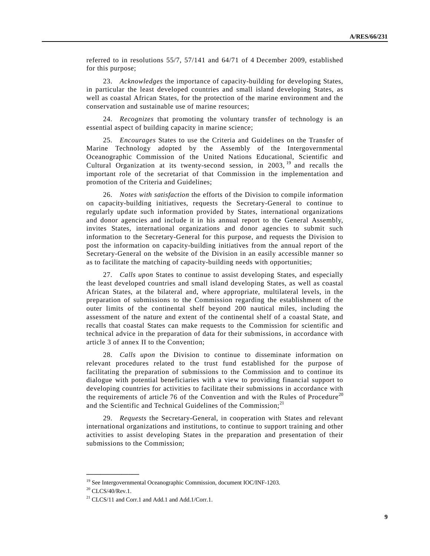referred to in resolutions 55/7, 57/141 and 64/71 of 4 December 2009, established for this purpose;

 23. *Acknowledges* the importance of capacity-building for developing States, in particular the least developed countries and small island developing States, as well as coastal African States, for the protection of the marine environment and the conservation and sustainable use of marine resources;

 24. *Recognizes* that promoting the voluntary transfer of technology is an essential aspect of building capacity in marine science;

 25. *Encourages* States to use the Criteria and Guidelines on the Transfer of Marine Technology adopted by the Assembly of the Intergovernmental Oceanographic Commission of the United Nations Educational, Scientific and Cultural Organization at its twenty-second session, in  $2003$ ,  $19$  and recalls the important role of the secretariat of that Commission in the implementation and promotion of the Criteria and Guidelines;

 26. *Notes with satisfaction* the efforts of the Division to compile information on capacity-building initiatives, requests the Secretary-General to continue to regularly update such information provided by States, international organizations and donor agencies and include it in his annual report to the General Assembly, invites States, international organizations and donor agencies to submit such information to the Secretary-General for this purpose, and requests the Division to post the information on capacity-building initiatives from the annual report of the Secretary-General on the website of the Division in an easily accessible manner so as to facilitate the matching of capacity-building needs with opportunities;

 27. *Calls upon* States to continue to assist developing States, and especially the least developed countries and small island developing States, as well as coastal African States, at the bilateral and, where appropriate, multilateral levels, in the preparation of submissions to the Commission regarding the establishment of the outer limits of the continental shelf beyond 200 nautical miles, including the assessment of the nature and extent of the continental shelf of a coastal State, and recalls that coastal States can make requests to the Commission for scientific and technical advice in the preparation of data for their submissions, in accordance with article 3 of annex II to the Convention;

 28. *Calls upon* the Division to continue to disseminate information on relevant procedures related to the trust fund established for the purpose of facilitating the preparation of submissions to the Commission and to continue its dialogue with potential beneficiaries with a view to providing financial support to developing countries for activities to facilitate their submissions in accordance with the requirements of article 76 of the Convention and with the Rules of Procedure<sup>20</sup> and the Scientific and Technical Guidelines of the Commission;<sup>21</sup>

 29. *Requests* the Secretary-General, in cooperation with States and relevant international organizations and institutions, to continue to support training and other activities to assist developing States in the preparation and presentation of their submissions to the Commission;

<sup>&</sup>lt;sup>19</sup> See Intergovernmental Oceanographic Commission, document IOC/INF-1203.

<sup>&</sup>lt;sup>20</sup> CLCS/40/Rev.1.

<sup>21</sup> CLCS/11 and Corr.1 and Add.1 and Add.1/Corr.1.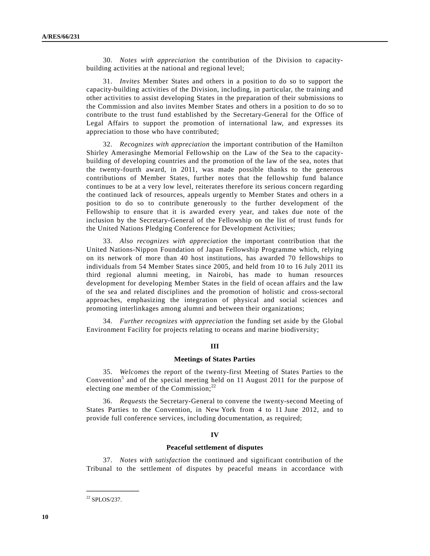30. *Notes with appreciation* the contribution of the Division to capacitybuilding activities at the national and regional level;

 31. *Invites* Member States and others in a position to do so to support the capacity-building activities of the Division, including, in particular, the training and other activities to assist developing States in the preparation of their submissions to the Commission and also invites Member States and others in a position to do so to contribute to the trust fund established by the Secretary-General for the Office of Legal Affairs to support the promotion of international law, and expresses its appreciation to those who have contributed;

 32. *Recognizes with appreciation* the important contribution of the Hamilton Shirley Amerasinghe Memorial Fellowship on the Law of the Sea to the capacitybuilding of developing countries and the promotion of the law of the sea, notes that the twenty-fourth award, in 2011, was made possible thanks to the generous contributions of Member States, further notes that the fellowship fund balance continues to be at a very low level, reiterates therefore its serious concern regarding the continued lack of resources, appeals urgently to Member States and others in a position to do so to contribute generously to the further development of the Fellowship to ensure that it is awarded every year, and takes due note of the inclusion by the Secretary-General of the Fellowship on the list of trust funds for the United Nations Pledging Conference for Development Activities;

 33. *Also recognizes with appreciation* the important contribution that the United Nations-Nippon Foundation of Japan Fellowship Programme which, relying on its network of more than 40 host institutions, has awarded 70 fellowships to individuals from 54 Member States since 2005, and held from 10 to 16 July 2011 its third regional alumni meeting, in Nairobi, has made to human resources development for developing Member States in the field of ocean affairs and the law of the sea and related disciplines and the promotion of holistic and cross-sectoral approaches, emphasizing the integration of physical and social sciences and promoting interlinkages among alumni and between their organizations;

 34. *Further recognizes with appreciation* the funding set aside by the Global Environment Facility for projects relating to oceans and marine biodiversity;

### **III**

#### **Meetings of States Parties**

 35. *Welcomes* the report of the twenty-first Meeting of States Parties to the Convention<sup>5</sup> and of the special meeting held on 11 August 2011 for the purpose of electing one member of the Commission; $^{22}$ 

 36. *Requests* the Secretary-General to convene the twenty-second Meeting of States Parties to the Convention, in New York from 4 to 11 June 2012, and to provide full conference services, including documentation, as required;

#### **IV**

#### **Peaceful settlement of disputes**

 37. *Notes with satisfaction* the continued and significant contribution of the Tribunal to the settlement of disputes by peaceful means in accordance with

<sup>22</sup> SPLOS/237.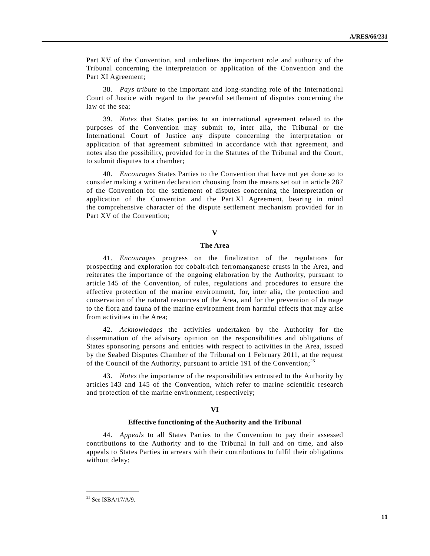Part XV of the Convention, and underlines the important role and authority of the Tribunal concerning the interpretation or application of the Convention and the Part XI Agreement;

 38. *Pays tribute* to the important and long-standing role of the International Court of Justice with regard to the peaceful settlement of disputes concerning the law of the sea;

 39. *Notes* that States parties to an international agreement related to the purposes of the Convention may submit to, inter alia, the Tribunal or the International Court of Justice any dispute concerning the interpretation or application of that agreement submitted in accordance with that agreement, and notes also the possibility, provided for in the Statutes of the Tribunal and the Court, to submit disputes to a chamber;

 40. *Encourages* States Parties to the Convention that have not yet done so to consider making a written declaration choosing from the means set out in article 287 of the Convention for the settlement of disputes concerning the interpretation or application of the Convention and the Part XI Agreement, bearing in mind the comprehensive character of the dispute settlement mechanism provided for in Part XV of the Convention;

## **V**

#### **The Area**

 41. *Encourages* progress on the finalization of the regulations for prospecting and exploration for cobalt-rich ferromanganese crusts in the Area, and reiterates the importance of the ongoing elaboration by the Authority, pursuant to article 145 of the Convention, of rules, regulations and procedures to ensure the effective protection of the marine environment, for, inter alia, the protection and conservation of the natural resources of the Area, and for the prevention of damage to the flora and fauna of the marine environment from harmful effects that may arise from activities in the Area;

 42. *Acknowledges* the activities undertaken by the Authority for the dissemination of the advisory opinion on the responsibilities and obligations of States sponsoring persons and entities with respect to activities in the Area, issued by the Seabed Disputes Chamber of the Tribunal on 1 February 2011, at the request of the Council of the Authority, pursuant to article 191 of the Convention;<sup>23</sup>

 43. *Notes* the importance of the responsibilities entrusted to the Authority by articles 143 and 145 of the Convention, which refer to marine scientific research and protection of the marine environment, respectively;

### **VI**

#### **Effective functioning of the Authority and the Tribunal**

 44. *Appeals* to all States Parties to the Convention to pay their assessed contributions to the Authority and to the Tribunal in full and on time, and also appeals to States Parties in arrears with their contributions to fulfil their obligations without delay;

**\_\_\_\_\_\_\_\_\_\_\_\_\_\_\_**  <sup>23</sup> See ISBA/17/A/9.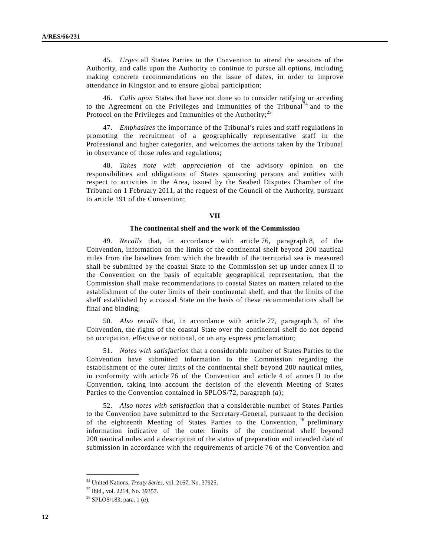45. *Urges* all States Parties to the Convention to attend the sessions of the Authority, and calls upon the Authority to continue to pursue all options, including making concrete recommendations on the issue of dates, in order to improve attendance in Kingston and to ensure global participation;

 46. *Calls upon* States that have not done so to consider ratifying or acceding to the Agreement on the Privileges and Immunities of the Tribunal  $^{24}$  and to the Protocol on the Privileges and Immunities of the Authority; $^{25}$ 

 47. *Emphasizes* the importance of the Tribunal's rules and staff regulations in promoting the recruitment of a geographically representative staff in the Professional and higher categories, and welcomes the actions taken by the Tribunal in observance of those rules and regulations;

 48. *Takes note with appreciation* of the advisory opinion on the responsibilities and obligations of States sponsoring persons and entities with respect to activities in the Area, issued by the Seabed Disputes Chamber of the Tribunal on 1 February 2011, at the request of the Council of the Authority, pursuant to article 191 of the Convention;

### **VII**

#### **The continental shelf and the work of the Commission**

 49. *Recalls* that, in accordance with article 76, paragraph 8, of the Convention, information on the limits of the continental shelf beyond 200 nautical miles from the baselines from which the breadth of the territorial sea is measured shall be submitted by the coastal State to the Commission set up under annex II to the Convention on the basis of equitable geographical representation, that the Commission shall make recommendations to coastal States on matters related to the establishment of the outer limits of their continental shelf, and that the limits of the shelf established by a coastal State on the basis of these recommendations shall be final and binding;

 50. *Also recalls* that, in accordance with article 77, paragraph 3, of the Convention, the rights of the coastal State over the continental shelf do not depend on occupation, effective or notional, or on any express proclamation;

 51. *Notes with satisfaction* that a considerable number of States Parties to the Convention have submitted information to the Commission regarding the establishment of the outer limits of the continental shelf beyond 200 nautical miles, in conformity with article 76 of the Convention and article 4 of annex II to the Convention, taking into account the decision of the eleventh Meeting of States Parties to the Convention contained in SPLOS/72, paragraph (*a*);

 52. *Also notes with satisfaction* that a considerable number of States Parties to the Convention have submitted to the Secretary-General, pursuant to the decision of the eighteenth Meeting of States Parties to the Convention,  $26$  preliminary information indicative of the outer limits of the continental shelf beyond 200 nautical miles and a description of the status of preparation and intended date of submission in accordance with the requirements of article 76 of the Convention and

<sup>24</sup> United Nations, *Treaty Series*, vol. 2167, No. 37925.

<sup>25</sup> Ibid., vol. 2214, No. 39357.

<sup>26</sup> SPLOS/183, para. 1 (*a*).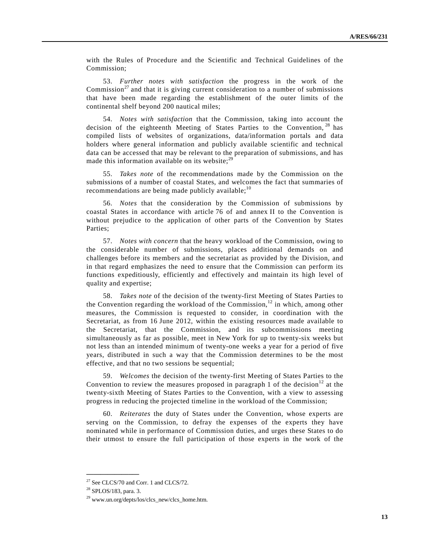with the Rules of Procedure and the Scientific and Technical Guidelines of the Commission;

 53. *Further notes with satisfaction* the progress in the work of the Commission<sup>27</sup> and that it is giving current consideration to a number of submissions that have been made regarding the establishment of the outer limits of the continental shelf beyond 200 nautical miles;

 54. *Notes with satisfaction* that the Commission, taking into account the decision of the eighteenth Meeting of States Parties to the Convention, <sup>28</sup> has compiled lists of websites of organizations, data/information portals and data holders where general information and publicly available scientific and technical data can be accessed that may be relevant to the preparation of submissions, and has made this information available on its website: $^{29}$ 

 55. *Takes note* of the recommendations made by the Commission on the submissions of a number of coastal States, and welcomes the fact that summaries of recommendations are being made publicly available; $^{10}$ 

 56. *Notes* that the consideration by the Commission of submissions by coastal States in accordance with article 76 of and annex II to the Convention is without prejudice to the application of other parts of the Convention by States Parties;

 57. *Notes with concern* that the heavy workload of the Commission, owing to the considerable number of submissions, places additional demands on and challenges before its members and the secretariat as provided by the Division, and in that regard emphasizes the need to ensure that the Commission can perform its functions expeditiously, efficiently and effectively and maintain its high level of quality and expertise;

 58. *Takes note* of the decision of the twenty-first Meeting of States Parties to the Convention regarding the workload of the Commission,<sup>12</sup> in which, among other measures, the Commission is requested to consider, in coordination with the Secretariat, as from 16 June 2012, within the existing resources made available to the Secretariat, that the Commission, and its subcommissions meeting simultaneously as far as possible, meet in New York for up to twenty-six weeks but not less than an intended minimum of twenty-one weeks a year for a period of five years, distributed in such a way that the Commission determines to be the most effective, and that no two sessions be sequential;

 59. *Welcomes* the decision of the twenty-first Meeting of States Parties to the Convention to review the measures proposed in paragraph 1 of the decision<sup>12</sup> at the twenty-sixth Meeting of States Parties to the Convention, with a view to assessing progress in reducing the projected timeline in the workload of the Commission;

 60. *Reiterates* the duty of States under the Convention, whose experts are serving on the Commission, to defray the expenses of the experts they have nominated while in performance of Commission duties, and urges these States to do their utmost to ensure the full participation of those experts in the work of the

<sup>27</sup> See CLCS/70 and Corr. 1 and CLCS/72.

<sup>28</sup> SPLOS/183, para. 3.

<sup>29</sup> www.un.org/depts/los/clcs\_new/clcs\_home.htm.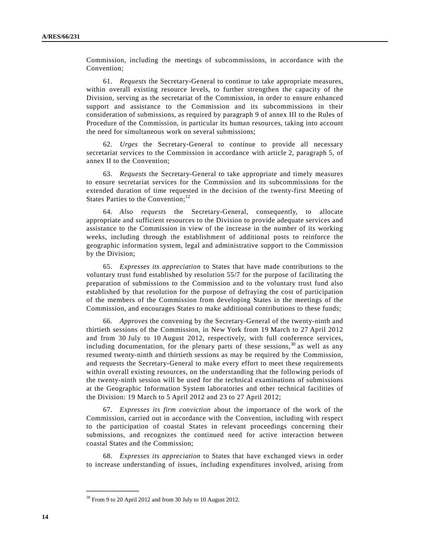Commission, including the meetings of subcommissions, in accordance with the Convention;

 61. *Requests* the Secretary-General to continue to take appropriate measures, within overall existing resource levels, to further strengthen the capacity of the Division, serving as the secretariat of the Commission, in order to ensure enhanced support and assistance to the Commission and its subcommissions in their consideration of submissions, as required by paragraph 9 of annex III to the Rules of Procedure of the Commission, in particular its human resources, taking into account the need for simultaneous work on several submissions;

 62. *Urges* the Secretary-General to continue to provide all necessary secretariat services to the Commission in accordance with article 2, paragraph 5, of annex II to the Convention;

 63. *Requests* the Secretary-General to take appropriate and timely measures to ensure secretariat services for the Commission and its subcommissions for the extended duration of time requested in the decision of the twenty-first Meeting of States Parties to the Convention; $^{12}$ 

 64. *Also requests* the Secretary-General, consequently, to allocate appropriate and sufficient resources to the Division to provide adequate services and assistance to the Commission in view of the increase in the number of its working weeks, including through the establishment of additional posts to reinforce the geographic information system, legal and administrative support to the Commission by the Division;

 65. *Expresses its appreciation* to States that have made contributions to the voluntary trust fund established by resolution 55/7 for the purpose of facilitating the preparation of submissions to the Commission and to the voluntary trust fund also established by that resolution for the purpose of defraying the cost of participation of the members of the Commission from developing States in the meetings of the Commission, and encourages States to make additional contributions to these funds;

 66. *Approves* the convening by the Secretary-General of the twenty-ninth and thirtieth sessions of the Commission, in New York from 19 March to 27 April 2012 and from 30 July to 10 August 2012, respectively, with full conference services, including documentation, for the plenary parts of these sessions,  $30$  as well as any resumed twenty-ninth and thirtieth sessions as may be required by the Commission, and requests the Secretary-General to make every effort to meet these requirements within overall existing resources, on the understanding that the following periods of the twenty-ninth session will be used for the technical examinations of submissions at the Geographic Information System laboratories and other technical facilities of the Division: 19 March to 5 April 2012 and 23 to 27 April 2012;

 67. *Expresses its firm conviction* about the importance of the work of the Commission, carried out in accordance with the Convention, including with respect to the participation of coastal States in relevant proceedings concerning their submissions, and recognizes the continued need for active interaction between coastal States and the Commission;

 68. *Expresses its appreciation* to States that have exchanged views in order to increase understanding of issues, including expenditures involved, arising from

<sup>&</sup>lt;sup>30</sup> From 9 to 20 April 2012 and from 30 July to 10 August 2012.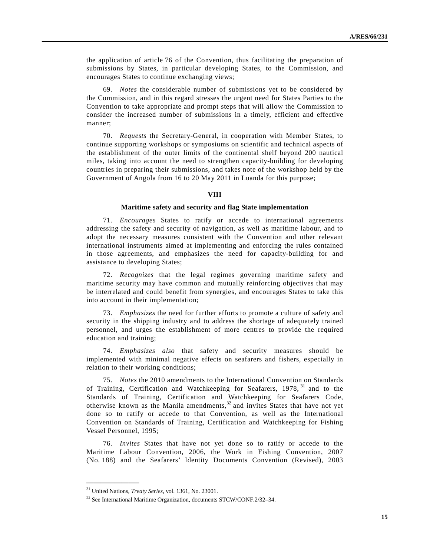the application of article 76 of the Convention, thus facilitating the preparation of submissions by States, in particular developing States, to the Commission, and encourages States to continue exchanging views;

 69. *Notes* the considerable number of submissions yet to be considered by the Commission, and in this regard stresses the urgent need for States Parties to the Convention to take appropriate and prompt steps that will allow the Commission to consider the increased number of submissions in a timely, efficient and effective manner;

 70. *Requests* the Secretary-General, in cooperation with Member States, to continue supporting workshops or symposiums on scientific and technical aspects of the establishment of the outer limits of the continental shelf beyond 200 nautical miles, taking into account the need to strengthen capacity-building for developing countries in preparing their submissions, and takes note of the workshop held by the Government of Angola from 16 to 20 May 2011 in Luanda for this purpose;

#### **VIII**

#### **Maritime safety and security and flag State implementation**

 71. *Encourages* States to ratify or accede to international agreements addressing the safety and security of navigation, as well as maritime labour, and to adopt the necessary measures consistent with the Convention and other relevant international instruments aimed at implementing and enforcing the rules contained in those agreements, and emphasizes the need for capacity-building for and assistance to developing States;

 72. *Recognizes* that the legal regimes governing maritime safety and maritime security may have common and mutually reinforcing objectives that may be interrelated and could benefit from synergies, and encourages States to take this into account in their implementation;

 73. *Emphasizes* the need for further efforts to promote a culture of safety and security in the shipping industry and to address the shortage of adequately trained personnel, and urges the establishment of more centres to provide the required education and training;

 74. *Emphasizes also* that safety and security measures should be implemented with minimal negative effects on seafarers and fishers, especially in relation to their working conditions;

 75. *Notes* the 2010 amendments to the International Convention on Standards of Training, Certification and Watchkeeping for Seafarers, 1978, <sup>31</sup> and to the Standards of Training, Certification and Watchkeeping for Seafarers Code, otherwise known as the Manila amendments, $32$  and invites States that have not yet done so to ratify or accede to that Convention, as well as the International Convention on Standards of Training, Certification and Watchkeeping for Fishing Vessel Personnel, 1995;

 76. *Invites* States that have not yet done so to ratify or accede to the Maritime Labour Convention, 2006, the Work in Fishing Convention, 2007 (No. 188) and the Seafarers' Identity Documents Convention (Revised), 2003

<sup>31</sup> United Nations, *Treaty Series*, vol. 1361, No. 23001.

<sup>32</sup> See International Maritime Organization, documents STCW/CONF.2/32–34.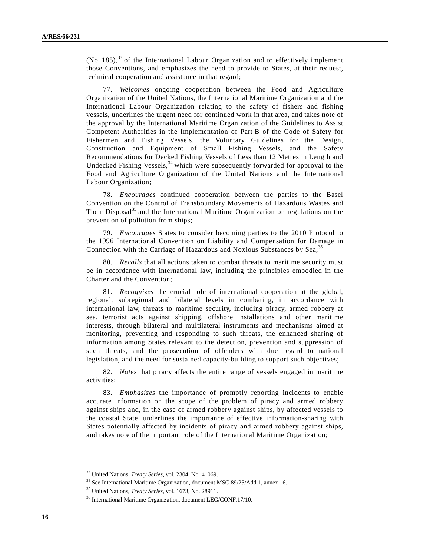$(N_0, 185)$ ,<sup>33</sup> of the International Labour Organization and to effectively implement those Conventions, and emphasizes the need to provide to States, at their request, technical cooperation and assistance in that regard;

 77. *Welcomes* ongoing cooperation between the Food and Agriculture Organization of the United Nations, the International Maritime Organization and the International Labour Organization relating to the safety of fishers and fishing vessels, underlines the urgent need for continued work in that area, and takes note of the approval by the International Maritime Organization of the Guidelines to Assist Competent Authorities in the Implementation of Part B of the Code of Safety for Fishermen and Fishing Vessels, the Voluntary Guidelines for the Design, Construction and Equipment of Small Fishing Vessels, and the Safety Recommendations for Decked Fishing Vessels of Less than 12 Metres in Length and Undecked Fishing Vessels,  $34$  which were subsequently forwarded for approval to the Food and Agriculture Organization of the United Nations and the International Labour Organization;

 78. *Encourages* continued cooperation between the parties to the Basel Convention on the Control of Transboundary Movements of Hazardous Wastes and Their Disposal<sup>35</sup> and the International Maritime Organization on regulations on the prevention of pollution from ships;

 79. *Encourages* States to consider becoming parties to the 2010 Protocol to the 1996 International Convention on Liability and Compensation for Damage in Connection with the Carriage of Hazardous and Noxious Substances by Sea;  $36$ 

 80. *Recalls* that all actions taken to combat threats to maritime security must be in accordance with international law, including the principles embodied in the Charter and the Convention;

 81. *Recognizes* the crucial role of international cooperation at the global, regional, subregional and bilateral levels in combating, in accordance with international law, threats to maritime security, including piracy, armed robbery at sea, terrorist acts against shipping, offshore installations and other maritime interests, through bilateral and multilateral instruments and mechanisms aimed at monitoring, preventing and responding to such threats, the enhanced sharing of information among States relevant to the detection, prevention and suppression of such threats, and the prosecution of offenders with due regard to national legislation, and the need for sustained capacity-building to support such objectives;

 82. *Notes* that piracy affects the entire range of vessels engaged in maritime activities;

 83. *Emphasizes* the importance of promptly reporting incidents to enable accurate information on the scope of the problem of piracy and armed robbery against ships and, in the case of armed robbery against ships, by affected vessels to the coastal State, underlines the importance of effective information-sharing with States potentially affected by incidents of piracy and armed robbery against ships, and takes note of the important role of the International Maritime Organization;

<sup>33</sup> United Nations, *Treaty Series*, vol. 2304, No. 41069.

<sup>34</sup> See International Maritime Organization, document MSC 89/25/Add.1, annex 16.

<sup>35</sup> United Nations, *Treaty Series*, vol. 1673, No. 28911.

<sup>36</sup> International Maritime Organization, document LEG/CONF.17/10.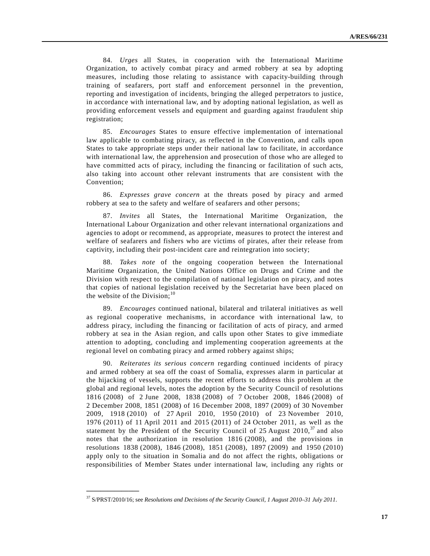84. *Urges* all States, in cooperation with the International Maritime Organization, to actively combat piracy and armed robbery at sea by adopting measures, including those relating to assistance with capacity-building through training of seafarers, port staff and enforcement personnel in the prevention, reporting and investigation of incidents, bringing the alleged perpetrators to justice, in accordance with international law, and by adopting national legislation, as well as providing enforcement vessels and equipment and guarding against fraudulent ship registration;

 85. *Encourages* States to ensure effective implementation of international law applicable to combating piracy, as reflected in the Convention, and calls upon States to take appropriate steps under their national law to facilitate, in accordance with international law, the apprehension and prosecution of those who are alleged to have committed acts of piracy, including the financing or facilitation of such acts, also taking into account other relevant instruments that are consistent with the Convention;

 86. *Expresses grave concern* at the threats posed by piracy and armed robbery at sea to the safety and welfare of seafarers and other persons;

 87. *Invites* all States, the International Maritime Organization, the International Labour Organization and other relevant international organizations and agencies to adopt or recommend, as appropriate, measures to protect the interest and welfare of seafarers and fishers who are victims of pirates, after their release from captivity, including their post-incident care and reintegration into society;

 88. *Takes note* of the ongoing cooperation between the International Maritime Organization, the United Nations Office on Drugs and Crime and the Division with respect to the compilation of national legislation on piracy, and notes that copies of national legislation received by the Secretariat have been placed on the website of the Division; $10$ 

 89. *Encourages* continued national, bilateral and trilateral initiatives as well as regional cooperative mechanisms, in accordance with international law, to address piracy, including the financing or facilitation of acts of piracy, and armed robbery at sea in the Asian region, and calls upon other States to give immediate attention to adopting, concluding and implementing cooperation agreements at the regional level on combating piracy and armed robbery against ships;

 90. *Reiterates its serious concern* regarding continued incidents of piracy and armed robbery at sea off the coast of Somalia, expresses alarm in particular at the hijacking of vessels, supports the recent efforts to address this problem at the global and regional levels, notes the adoption by the Security Council of resolutions 1816 (2008) of 2 June 2008, 1838 (2008) of 7 October 2008, 1846 (2008) of 2 December 2008, 1851 (2008) of 16 December 2008, 1897 (2009) of 30 November 2009, 1918 (2010) of 27 April 2010, 1950 (2010) of 23 November 2010, 1976 (2011) of 11 April 2011 and 2015 (2011) of 24 October 2011, as well as the statement by the President of the Security Council of 25 August 2010, $37$  and also notes that the authorization in resolution 1816 (2008), and the provisions in resolutions 1838 (2008), 1846 (2008), 1851 (2008), 1897 (2009) and 1950 (2010) apply only to the situation in Somalia and do not affect the rights, obligations or responsibilities of Member States under international law, including any rights or

<sup>37</sup> S/PRST/2010/16; see *Resolutions and Decisions of the Security Council, 1 August 2010–31 July 2011*.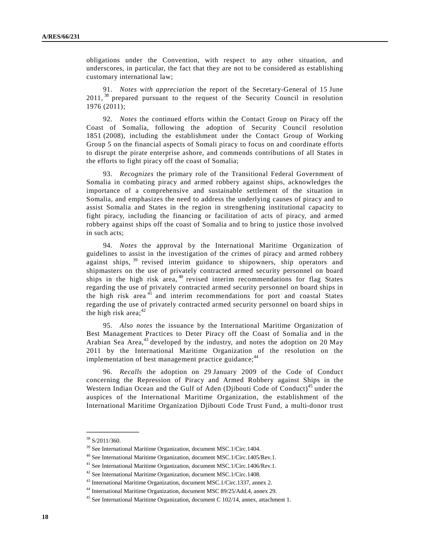obligations under the Convention, with respect to any other situation, and underscores, in particular, the fact that they are not to be considered as establishing customary international law;

 91. *Notes with appreciation* the report of the Secretary-General of 15 June 2011,<sup>38</sup> prepared pursuant to the request of the Security Council in resolution 1976 (2011);

 92. *Notes* the continued efforts within the Contact Group on Piracy off the Coast of Somalia, following the adoption of Security Council resolution 1851 (2008), including the establishment under the Contact Group of Working Group 5 on the financial aspects of Somali piracy to focus on and coordinate efforts to disrupt the pirate enterprise ashore, and commends contributions of all States in the efforts to fight piracy off the coast of Somalia;

 93. *Recognizes* the primary role of the Transitional Federal Government of Somalia in combating piracy and armed robbery against ships, acknowledges the importance of a comprehensive and sustainable settlement of the situation in Somalia, and emphasizes the need to address the underlying causes of piracy and to assist Somalia and States in the region in strengthening institutional capacity to fight piracy, including the financing or facilitation of acts of piracy, and armed robbery against ships off the coast of Somalia and to bring to justice those involved in such acts;

 94. *Notes* the approval by the International Maritime Organization of guidelines to assist in the investigation of the crimes of piracy and armed robbery against ships, <sup>39</sup> revised interim guidance to shipowners, ship operators and shipmasters on the use of privately contracted armed security personnel on board ships in the high risk area, <sup>40</sup> revised interim recommendations for flag States regarding the use of privately contracted armed security personnel on board ships in the high risk area $^{41}$  and interim recommendations for port and coastal States regarding the use of privately contracted armed security personnel on board ships in the high risk area; $42$ 

 95. *Also notes* the issuance by the International Maritime Organization of Best Management Practices to Deter Piracy off the Coast of Somalia and in the Arabian Sea Area, $43$  developed by the industry, and notes the adoption on 20 May 2011 by the International Maritime Organization of the resolution on the implementation of best management practice guidance;<sup>44</sup>

 96. *Recalls* the adoption on 29 January 2009 of the Code of Conduct concerning the Repression of Piracy and Armed Robbery against Ships in the Western Indian Ocean and the Gulf of Aden (Djibouti Code of Conduct)<sup>45</sup> under the auspices of the International Maritime Organization, the establishment of the International Maritime Organization Djibouti Code Trust Fund, a multi-donor trust

<sup>38</sup> S/2011/360.

<sup>&</sup>lt;sup>39</sup> See International Maritime Organization, document MSC.1/Circ.1404.

<sup>40</sup> See International Maritime Organization, document MSC.1/Circ.1405/Rev.1.

<sup>41</sup> See International Maritime Organization, document MSC.1/Circ.1406/Rev.1.

<sup>42</sup> See International Maritime Organization, document MSC.1/Circ.1408.

<sup>43</sup> International Maritime Organization, document MSC.1/Circ.1337, annex 2.

<sup>44</sup> International Maritime Organization, document MSC 89/25/Add.4, annex 29.

<sup>45</sup> See International Maritime Organization, document C 102/14, annex, attachment 1.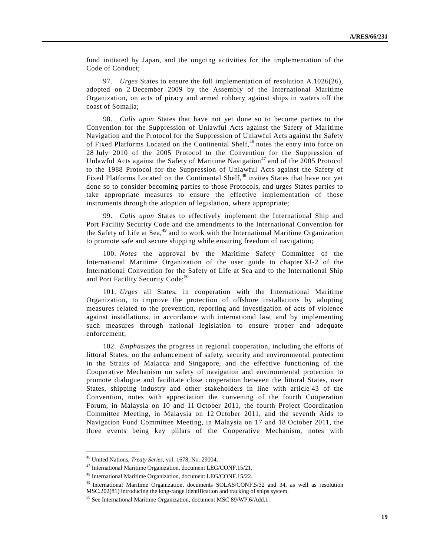fund initiated by Japan, and the ongoing activities for the implementation of the Code of Conduct;

 97. *Urges* States to ensure the full implementation of resolution A.1026(26), adopted on 2 December 2009 by the Assembly of the International Maritime Organization, on acts of piracy and armed robbery against ships in waters off the coast of Somalia;

 98. *Calls upon* States that have not yet done so to become parties to the Convention for the Suppression of Unlawful Acts against the Safety of Maritime Navigation and the Protocol for the Suppression of Unlawful Acts against the Safety of Fixed Platforms Located on the Continental Shelf, <sup>46</sup> notes the entry into force on 28 July 2010 of the 2005 Protocol to the Convention for the Suppression of Unlawful Acts against the Safety of Maritime Navigation<sup>47</sup> and of the 2005 Protocol to the 1988 Protocol for the Suppression of Unlawful Acts against the Safety of Fixed Platforms Located on the Continental Shelf,<sup>48</sup> invites States that have not yet done so to consider becoming parties to those Protocols, and urges States parties to take appropriate measures to ensure the effective implementation of those instruments through the adoption of legislation, where appropriate;

 99. *Calls upon* States to effectively implement the International Ship and Port Facility Security Code and the amendments to the International Convention for the Safety of Life at Sea,<sup>49</sup> and to work with the International Maritime Organization to promote safe and secure shipping while ensuring freedom of navigation;

 100. *Notes* the approval by the Maritime Safety Committee of the International Maritime Organization of the user guide to chapter XI-2 of the International Convention for the Safety of Life at Sea and to the International Ship and Port Facility Security Code;<sup>50</sup>

 101. *Urges* all States, in cooperation with the International Maritime Organization, to improve the protection of offshore installations by adopting measures related to the prevention, reporting and investigation of acts of violence against installations, in accordance with international law, and by implementing such measures through national legislation to ensure proper and adequate enforcement;

 102. *Emphasizes* the progress in regional cooperation, including the efforts of littoral States, on the enhancement of safety, security and environmental protection in the Straits of Malacca and Singapore, and the effective functioning of the Cooperative Mechanism on safety of navigation and environmental protection to promote dialogue and facilitate close cooperation between the littoral States, user States, shipping industry and other stakeholders in line with article 43 of the Convention, notes with appreciation the convening of the fourth Cooperation Forum, in Malaysia on 10 and 11 October 2011, the fourth Project Coordination Committee Meeting, in Malaysia on 12 October 2011, and the seventh Aids to Navigation Fund Committee Meeting, in Malaysia on 17 and 18 October 2011, the three events being key pillars of the Cooperative Mechanism, notes with

<sup>46</sup> United Nations, *Treaty Series*, vol. 1678, No. 29004.

<sup>47</sup> International Maritime Organization, document LEG/CONF.15/21.

<sup>48</sup> International Maritime Organization, document LEG/CONF.15/22.

<sup>&</sup>lt;sup>49</sup> International Maritime Organization, documents SOLAS/CONF.5/32 and 34, as well as resolution MSC.202(81) introducing the long-range identification and tracking of ships system.

<sup>50</sup> See International Maritime Organization, document MSC 89/WP.6/Add.1.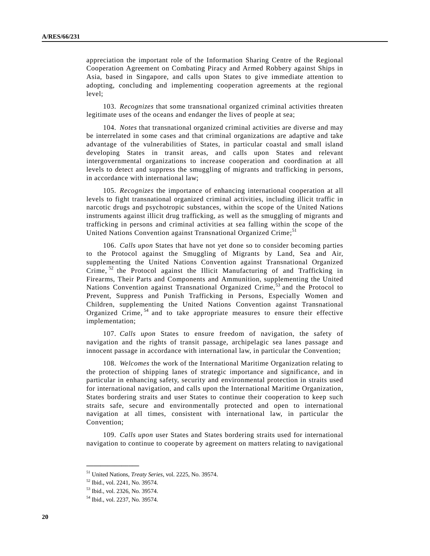appreciation the important role of the Information Sharing Centre of the Regional Cooperation Agreement on Combating Piracy and Armed Robbery against Ships in Asia, based in Singapore, and calls upon States to give immediate attention to adopting, concluding and implementing cooperation agreements at the regional level;

 103. *Recognizes* that some transnational organized criminal activities threaten legitimate uses of the oceans and endanger the lives of people at sea;

 104. *Notes* that transnational organized criminal activities are diverse and may be interrelated in some cases and that criminal organizations are adaptive and take advantage of the vulnerabilities of States, in particular coastal and small island developing States in transit areas, and calls upon States and relevant intergovernmental organizations to increase cooperation and coordination at all levels to detect and suppress the smuggling of migrants and trafficking in persons, in accordance with international law;

 105. *Recognizes* the importance of enhancing international cooperation at all levels to fight transnational organized criminal activities, including illicit traffic in narcotic drugs and psychotropic substances, within the scope of the United Nations instruments against illicit drug trafficking, as well as the smuggling of migrants and trafficking in persons and criminal activities at sea falling within the scope of the United Nations Convention against Transnational Organized Crime;<sup>51</sup>

 106. *Calls upon* States that have not yet done so to consider becoming parties to the Protocol against the Smuggling of Migrants by Land, Sea and Air, supplementing the United Nations Convention against Transnational Organized Crime, <sup>52</sup> the Protocol against the Illicit Manufacturing of and Trafficking in Firearms, Their Parts and Components and Ammunition, supplementing the United Nations Convention against Transnational Organized Crime,  $\frac{53}{3}$  and the Protocol to Prevent, Suppress and Punish Trafficking in Persons, Especially Women and Children, supplementing the United Nations Convention against Transnational Organized Crime, <sup>54</sup> and to take appropriate measures to ensure their effective implementation;

 107. *Calls upon* States to ensure freedom of navigation, the safety of navigation and the rights of transit passage, archipelagic sea lanes passage and innocent passage in accordance with international law, in particular the Convention;

 108. *Welcomes* the work of the International Maritime Organization relating to the protection of shipping lanes of strategic importance and significance, and in particular in enhancing safety, security and environmental protection in straits used for international navigation, and calls upon the International Maritime Organization, States bordering straits and user States to continue their cooperation to keep such straits safe, secure and environmentally protected and open to international navigation at all times, consistent with international law, in particular the Convention;

 109. *Calls upon* user States and States bordering straits used for international navigation to continue to cooperate by agreement on matters relating to navigational

<sup>51</sup> United Nations, *Treaty Series*, vol. 2225, No. 39574.

<sup>52</sup> Ibid., vol. 2241, No. 39574.

<sup>53</sup> Ibid., vol. 2326, No. 39574.

<sup>54</sup> Ibid., vol. 2237, No. 39574.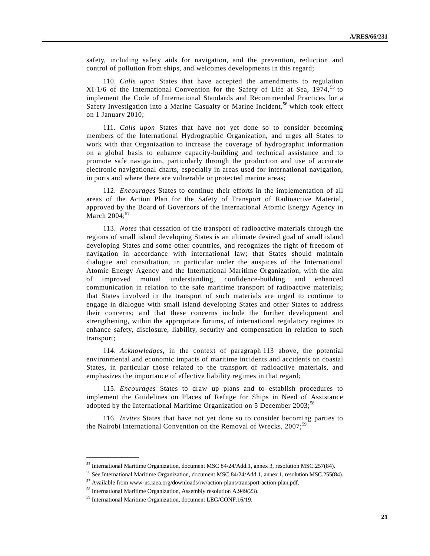safety, including safety aids for navigation, and the prevention, reduction and control of pollution from ships, and welcomes developments in this regard;

 110. *Calls upon* States that have accepted the amendments to regulation  $XI-1/6$  of the International Convention for the Safety of Life at Sea, 1974, <sup>55</sup> to implement the Code of International Standards and Recommended Practices for a Safety Investigation into a Marine Casualty or Marine Incident.<sup>56</sup> which took effect on 1 January 2010;

 111. *Calls upon* States that have not yet done so to consider becoming members of the International Hydrographic Organization, and urges all States to work with that Organization to increase the coverage of hydrographic information on a global basis to enhance capacity-building and technical assistance and to promote safe navigation, particularly through the production and use of accurate electronic navigational charts, especially in areas used for international navigation, in ports and where there are vulnerable or protected marine areas;

 112. *Encourages* States to continue their efforts in the implementation of all areas of the Action Plan for the Safety of Transport of Radioactive Material, approved by the Board of Governors of the International Atomic Energy Agency in March  $2004$ :<sup>57</sup>

 113. *Notes* that cessation of the transport of radioactive materials through the regions of small island developing States is an ultimate desired goal of small island developing States and some other countries, and recognizes the right of freedom of navigation in accordance with international law; that States should maintain dialogue and consultation, in particular under the auspices of the International Atomic Energy Agency and the International Maritime Organization, with the aim of improved mutual understanding, confidence-building and enhanced communication in relation to the safe maritime transport of radioactive materials; that States involved in the transport of such materials are urged to continue to engage in dialogue with small island developing States and other States to address their concerns; and that these concerns include the further development and strengthening, within the appropriate forums, of international regulatory regimes to enhance safety, disclosure, liability, security and compensation in relation to such transport;

 114. *Acknowledges*, in the context of paragraph 113 above, the potential environmental and economic impacts of maritime incidents and accidents on coastal States, in particular those related to the transport of radioactive materials, and emphasizes the importance of effective liability regimes in that regard;

 115. *Encourages* States to draw up plans and to establish procedures to implement the Guidelines on Places of Refuge for Ships in Need of Assistance adopted by the International Maritime Organization on 5 December  $2003$ ;<sup>58</sup>

 116. *Invites* States that have not yet done so to consider becoming parties to the Nairobi International Convention on the Removal of Wrecks,  $2007$ ;<sup>59</sup>

<sup>55</sup> International Maritime Organization, document MSC 84/24/Add.1, annex 3, resolution MSC.257(84).

<sup>56</sup> See International Maritime Organization, document MSC 84/24/Add.1, annex 1, resolution MSC.255(84).

<sup>57</sup> Available from www-ns.iaea.org/downloads/rw/action-plans/transport-action-plan.pdf.

<sup>58</sup> International Maritime Organization, Assembly resolution A.949(23).

<sup>59</sup> International Maritime Organization, document LEG/CONF.16/19.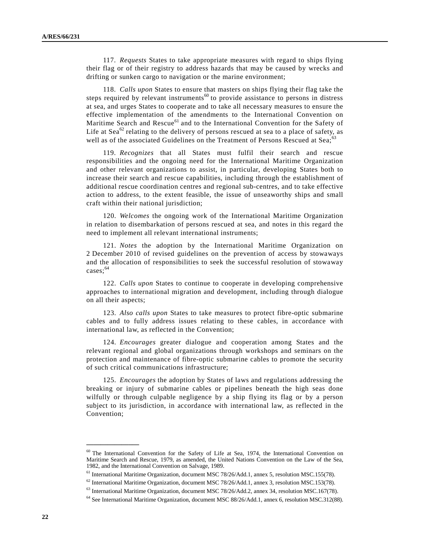117. *Requests* States to take appropriate measures with regard to ships flying their flag or of their registry to address hazards that may be caused by wrecks and drifting or sunken cargo to navigation or the marine environment;

 118. *Calls upon* States to ensure that masters on ships flying their flag take the steps required by relevant instruments<sup>60</sup> to provide assistance to persons in distress at sea, and urges States to cooperate and to take all necessary measures to ensure the effective implementation of the amendments to the International Convention on Maritime Search and Rescue<sup>61</sup> and to the International Convention for the Safety of Life at Sea<sup>62</sup> relating to the delivery of persons rescued at sea to a place of safety, as well as of the associated Guidelines on the Treatment of Persons Rescued at Sea;<sup>63</sup>

 119. *Recognizes* that all States must fulfil their search and rescue responsibilities and the ongoing need for the International Maritime Organization and other relevant organizations to assist, in particular, developing States both to increase their search and rescue capabilities, including through the establishment of additional rescue coordination centres and regional sub-centres, and to take effective action to address, to the extent feasible, the issue of unseaworthy ships and small craft within their national jurisdiction;

 120. *Welcomes* the ongoing work of the International Maritime Organization in relation to disembarkation of persons rescued at sea, and notes in this regard the need to implement all relevant international instruments;

 121. *Notes* the adoption by the International Maritime Organization on 2 December 2010 of revised guidelines on the prevention of access by stowaways and the allocation of responsibilities to seek the successful resolution of stowaway  $cases: <sup>64</sup>$ 

 122. *Calls upon* States to continue to cooperate in developing comprehensive approaches to international migration and development, including through dialogue on all their aspects;

 123. *Also calls upon* States to take measures to protect fibre-optic submarine cables and to fully address issues relating to these cables, in accordance with international law, as reflected in the Convention;

 124. *Encourages* greater dialogue and cooperation among States and the relevant regional and global organizations through workshops and seminars on the protection and maintenance of fibre-optic submarine cables to promote the security of such critical communications infrastructure;

 125. *Encourages* the adoption by States of laws and regulations addressing the breaking or injury of submarine cables or pipelines beneath the high seas done wilfully or through culpable negligence by a ship flying its flag or by a person subject to its jurisdiction, in accordance with international law, as reflected in the Convention;

<sup>60</sup> The International Convention for the Safety of Life at Sea, 1974, the International Convention on Maritime Search and Rescue, 1979, as amended, the United Nations Convention on the Law of the Sea, 1982, and the International Convention on Salvage, 1989.

<sup>61</sup> International Maritime Organization, document MSC 78/26/Add.1, annex 5, resolution MSC.155(78).

<sup>62</sup> International Maritime Organization, document MSC 78/26/Add.1, annex 3, resolution MSC.153(78).

<sup>63</sup> International Maritime Organization, document MSC 78/26/Add.2, annex 34, resolution MSC.167(78).

<sup>64</sup> See International Maritime Organization, document MSC 88/26/Add.1, annex 6, resolution MSC.312(88).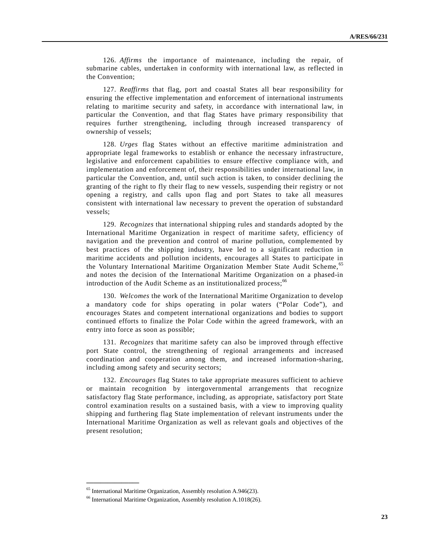126. *Affirms* the importance of maintenance, including the repair, of submarine cables, undertaken in conformity with international law, as reflected in the Convention;

 127. *Reaffirms* that flag, port and coastal States all bear responsibility for ensuring the effective implementation and enforcement of international instruments relating to maritime security and safety, in accordance with international law, in particular the Convention, and that flag States have primary responsibility that requires further strengthening, including through increased transparency of ownership of vessels;

 128. *Urges* flag States without an effective maritime administration and appropriate legal frameworks to establish or enhance the necessary infrastructure, legislative and enforcement capabilities to ensure effective compliance with, and implementation and enforcement of, their responsibilities under international law, in particular the Convention, and, until such action is taken, to consider declining the granting of the right to fly their flag to new vessels, suspending their registry or not opening a registry, and calls upon flag and port States to take all measures consistent with international law necessary to prevent the operation of substandard vessels;

 129. *Recognizes* that international shipping rules and standards adopted by the International Maritime Organization in respect of maritime safety, efficiency of navigation and the prevention and control of marine pollution, complemented by best practices of the shipping industry, have led to a significant reduction in maritime accidents and pollution incidents, encourages all States to participate in the Voluntary International Maritime Organization Member State Audit Scheme,<sup>65</sup> and notes the decision of the International Maritime Organization on a phased-in introduction of the Audit Scheme as an institutionalized process; $66$ 

 130. *Welcomes* the work of the International Maritime Organization to develop a mandatory code for ships operating in polar waters ("Polar Code"), and encourages States and competent international organizations and bodies to support continued efforts to finalize the Polar Code within the agreed framework, with an entry into force as soon as possible;

 131. *Recognizes* that maritime safety can also be improved through effective port State control, the strengthening of regional arrangements and increased coordination and cooperation among them, and increased information-sharing, including among safety and security sectors;

 132. *Encourages* flag States to take appropriate measures sufficient to achieve or maintain recognition by intergovernmental arrangements that recognize satisfactory flag State performance, including, as appropriate, satisfactory port State control examination results on a sustained basis, with a view to improving quality shipping and furthering flag State implementation of relevant instruments under the International Maritime Organization as well as relevant goals and objectives of the present resolution;

<sup>&</sup>lt;sup>65</sup> International Maritime Organization, Assembly resolution A.946(23).

<sup>66</sup> International Maritime Organization, Assembly resolution A.1018(26).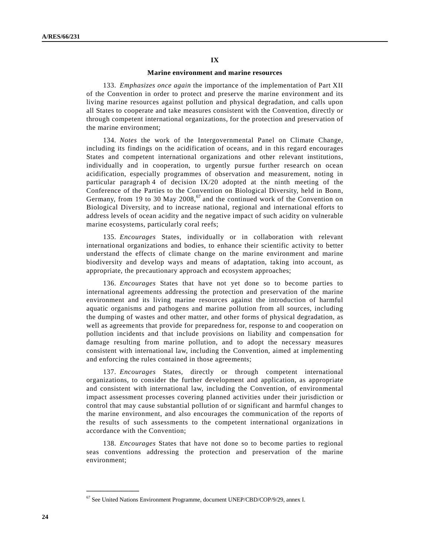### **IX**

### **Marine environment and marine resources**

 133. *Emphasizes once again* the importance of the implementation of Part XII of the Convention in order to protect and preserve the marine environment and its living marine resources against pollution and physical degradation, and calls upon all States to cooperate and take measures consistent with the Convention, directly or through competent international organizations, for the protection and preservation of the marine environment;

 134. *Notes* the work of the Intergovernmental Panel on Climate Change, including its findings on the acidification of oceans, and in this regard encourages States and competent international organizations and other relevant institutions, individually and in cooperation, to urgently pursue further research on ocean acidification, especially programmes of observation and measurement, noting in particular paragraph 4 of decision IX/20 adopted at the ninth meeting of the Conference of the Parties to the Convention on Biological Diversity, held in Bonn, Germany, from 19 to 30 May 2008,<sup>67</sup> and the continued work of the Convention on Biological Diversity, and to increase national, regional and international efforts to address levels of ocean acidity and the negative impact of such acidity on vulnerable marine ecosystems, particularly coral reefs;

 135. *Encourages* States, individually or in collaboration with relevant international organizations and bodies, to enhance their scientific activity to better understand the effects of climate change on the marine environment and marine biodiversity and develop ways and means of adaptation, taking into account, as appropriate, the precautionary approach and ecosystem approaches;

 136. *Encourages* States that have not yet done so to become parties to international agreements addressing the protection and preservation of the marine environment and its living marine resources against the introduction of harmful aquatic organisms and pathogens and marine pollution from all sources, including the dumping of wastes and other matter, and other forms of physical degradation, as well as agreements that provide for preparedness for, response to and cooperation on pollution incidents and that include provisions on liability and compensation for damage resulting from marine pollution, and to adopt the necessary measures consistent with international law, including the Convention, aimed at implementing and enforcing the rules contained in those agreements;

 137. *Encourages* States, directly or through competent international organizations, to consider the further development and application, as appropriate and consistent with international law, including the Convention, of environmental impact assessment processes covering planned activities under their jurisdiction or control that may cause substantial pollution of or significant and harmful changes to the marine environment, and also encourages the communication of the reports of the results of such assessments to the competent international organizations in accordance with the Convention;

 138. *Encourages* States that have not done so to become parties to regional seas conventions addressing the protection and preservation of the marine environment;

<sup>67</sup> See United Nations Environment Programme, document UNEP/CBD/COP/9/29, annex I.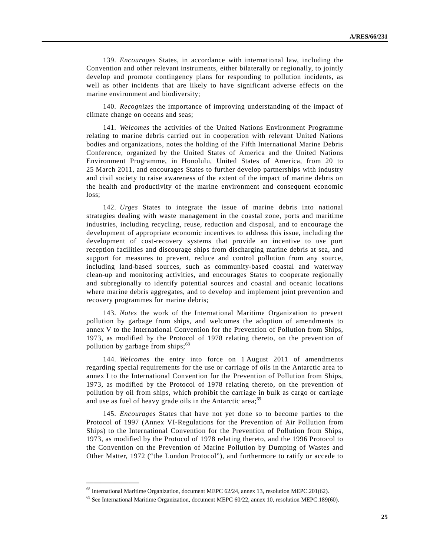139. *Encourages* States, in accordance with international law, including the Convention and other relevant instruments, either bilaterally or regionally, to jointly develop and promote contingency plans for responding to pollution incidents, as well as other incidents that are likely to have significant adverse effects on the marine environment and biodiversity;

 140. *Recognizes* the importance of improving understanding of the impact of climate change on oceans and seas;

 141. *Welcomes* the activities of the United Nations Environment Programme relating to marine debris carried out in cooperation with relevant United Nations bodies and organizations, notes the holding of the Fifth International Marine Debris Conference, organized by the United States of America and the United Nations Environment Programme, in Honolulu, United States of America, from 20 to 25 March 2011, and encourages States to further develop partnerships with industry and civil society to raise awareness of the extent of the impact of marine debris on the health and productivity of the marine environment and consequent economic loss;

 142. *Urges* States to integrate the issue of marine debris into national strategies dealing with waste management in the coastal zone, ports and maritime industries, including recycling, reuse, reduction and disposal, and to encourage the development of appropriate economic incentives to address this issue, including the development of cost-recovery systems that provide an incentive to use port reception facilities and discourage ships from discharging marine debris at sea, and support for measures to prevent, reduce and control pollution from any source, including land-based sources, such as community-based coastal and waterway clean-up and monitoring activities, and encourages States to cooperate regionally and subregionally to identify potential sources and coastal and oceanic locations where marine debris aggregates, and to develop and implement joint prevention and recovery programmes for marine debris;

 143. *Notes* the work of the International Maritime Organization to prevent pollution by garbage from ships, and welcomes the adoption of amendments to annex V to the International Convention for the Prevention of Pollution from Ships, 1973, as modified by the Protocol of 1978 relating thereto, on the prevention of pollution by garbage from ships;<sup>68</sup>

 144. *Welcomes* the entry into force on 1 August 2011 of amendments regarding special requirements for the use or carriage of oils in the Antarctic area to annex I to the International Convention for the Prevention of Pollution from Ships, 1973, as modified by the Protocol of 1978 relating thereto, on the prevention of pollution by oil from ships, which prohibit the carriage in bulk as cargo or carriage and use as fuel of heavy grade oils in the Antarctic area; $69$ 

 145. *Encourages* States that have not yet done so to become parties to the Protocol of 1997 (Annex VI-Regulations for the Prevention of Air Pollution from Ships) to the International Convention for the Prevention of Pollution from Ships, 1973, as modified by the Protocol of 1978 relating thereto, and the 1996 Protocol to the Convention on the Prevention of Marine Pollution by Dumping of Wastes and Other Matter, 1972 ("the London Protocol"), and furthermore to ratify or accede to

<sup>68</sup> International Maritime Organization, document MEPC 62/24, annex 13, resolution MEPC.201(62).

<sup>69</sup> See International Maritime Organization, document MEPC 60/22, annex 10, resolution MEPC.189(60).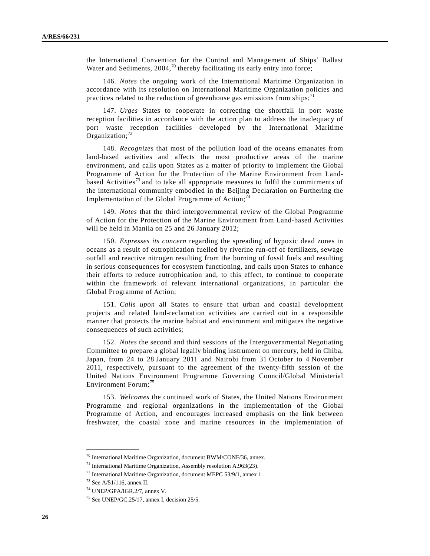the International Convention for the Control and Management of Ships' Ballast Water and Sediments,  $2004<sup>70</sup>$  thereby facilitating its early entry into force;

 146. *Notes* the ongoing work of the International Maritime Organization in accordance with its resolution on International Maritime Organization policies and practices related to the reduction of greenhouse gas emissions from ships;<sup>71</sup>

 147. *Urges* States to cooperate in correcting the shortfall in port waste reception facilities in accordance with the action plan to address the inadequacy of port waste reception facilities developed by the International Maritime Organization; $72$ 

 148. *Recognizes* that most of the pollution load of the oceans emanates from land-based activities and affects the most productive areas of the marine environment, and calls upon States as a matter of priority to implement the Global Programme of Action for the Protection of the Marine Environment from Landbased Activities<sup>73</sup> and to take all appropriate measures to fulfil the commitments of the international community embodied in the Beijing Declaration on Furthering the Implementation of the Global Programme of Action; $^7$ 

 149. *Notes* that the third intergovernmental review of the Global Programme of Action for the Protection of the Marine Environment from Land-based Activities will be held in Manila on 25 and 26 January 2012;

 150. *Expresses its concern* regarding the spreading of hypoxic dead zones in oceans as a result of eutrophication fuelled by riverine run-off of fertilizers, sewage outfall and reactive nitrogen resulting from the burning of fossil fuels and resulting in serious consequences for ecosystem functioning, and calls upon States to enhance their efforts to reduce eutrophication and, to this effect, to continue to cooperate within the framework of relevant international organizations, in particular the Global Programme of Action;

 151. *Calls upon* all States to ensure that urban and coastal development projects and related land-reclamation activities are carried out in a responsible manner that protects the marine habitat and environment and mitigates the negative consequences of such activities;

 152. *Notes* the second and third sessions of the Intergovernmental Negotiating Committee to prepare a global legally binding instrument on mercury, held in Chiba, Japan, from 24 to 28 January 2011 and Nairobi from 31 October to 4 November 2011, respectively, pursuant to the agreement of the twenty-fifth session of the United Nations Environment Programme Governing Council/Global Ministerial Environment Forum;<sup>75</sup>

 153. *Welcomes* the continued work of States, the United Nations Environment Programme and regional organizations in the implementation of the Global Programme of Action, and encourages increased emphasis on the link between freshwater, the coastal zone and marine resources in the implementation of

<sup>70</sup> International Maritime Organization, document BWM/CONF/36, annex.

 $71$  International Maritime Organization, Assembly resolution A.963(23).

<sup>72</sup> International Maritime Organization, document MEPC 53/9/1, annex 1.

<sup>73</sup> See A/51/116, annex II.

<sup>74</sup> UNEP/GPA/IGR.2/7, annex V.

<sup>75</sup> See UNEP/GC.25/17, annex I, decision 25/5.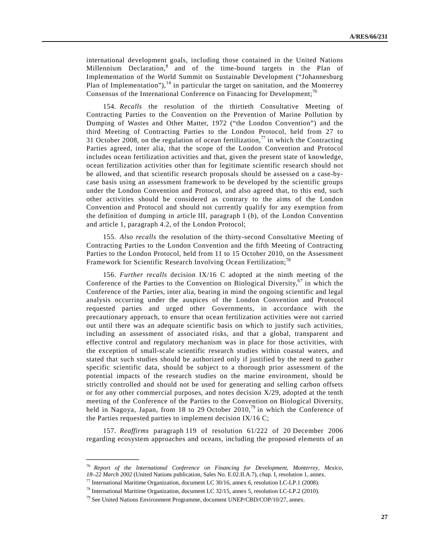international development goals, including those contained in the United Nations Millennium Declaration,<sup>8</sup> and of the time-bound targets in the Plan of Implementation of the World Summit on Sustainable Development ("Johannesburg Plan of Implementation"), $<sup>14</sup>$  in particular the target on sanitation, and the Monterrey</sup> Consensus of the International Conference on Financing for Development;<sup>76</sup>

 154. *Recalls* the resolution of the thirtieth Consultative Meeting of Contracting Parties to the Convention on the Prevention of Marine Pollution by Dumping of Wastes and Other Matter, 1972 ("the London Convention") and the third Meeting of Contracting Parties to the London Protocol, held from 27 to 31 October 2008, on the regulation of ocean fertilization,<sup> $\pi$ </sup> in which the Contracting Parties agreed, inter alia, that the scope of the London Convention and Protocol includes ocean fertilization activities and that, given the present state of knowledge, ocean fertilization activities other than for legitimate scientific research should not be allowed, and that scientific research proposals should be assessed on a case-bycase basis using an assessment framework to be developed by the scientific groups under the London Convention and Protocol, and also agreed that, to this end, such other activities should be considered as contrary to the aims of the London Convention and Protocol and should not currently qualify for any exemption from the definition of dumping in article III, paragraph 1 (*b*), of the London Convention and article 1, paragraph 4.2, of the London Protocol;

 155. *Also recalls* the resolution of the thirty-second Consultative Meeting of Contracting Parties to the London Convention and the fifth Meeting of Contracting Parties to the London Protocol, held from 11 to 15 October 2010, on the Assessment Framework for Scientific Research Involving Ocean Fertilization;<sup>78</sup>

 156. *Further recalls* decision IX/16 C adopted at the ninth meeting of the Conference of the Parties to the Convention on Biological Diversity,  $67$  in which the Conference of the Parties, inter alia, bearing in mind the ongoing scientific and legal analysis occurring under the auspices of the London Convention and Protocol requested parties and urged other Governments, in accordance with the precautionary approach, to ensure that ocean fertilization activities were not carried out until there was an adequate scientific basis on which to justify such activities, including an assessment of associated risks, and that a global, transparent and effective control and regulatory mechanism was in place for those activities, with the exception of small-scale scientific research studies within coastal waters, and stated that such studies should be authorized only if justified by the need to gather specific scientific data, should be subject to a thorough prior assessment of the potential impacts of the research studies on the marine environment, should be strictly controlled and should not be used for generating and selling carbon offsets or for any other commercial purposes, and notes decision  $X/29$ , adopted at the tenth meeting of the Conference of the Parties to the Convention on Biological Diversity, held in Nagoya, Japan, from 18 to 29 October 2010,<sup>79</sup> in which the Conference of the Parties requested parties to implement decision IX/16 C;

 157. *Reaffirms* paragraph 119 of resolution 61/222 of 20 December 2006 regarding ecosystem approaches and oceans, including the proposed elements of an

<sup>76</sup> *Report of the International Conference on Financing for Development, Monterrey, Mexico, 18–22 March 2002* (United Nations publication, Sales No. E.02.II.A.7), chap. I, resolution 1, annex.

<sup>77</sup> International Maritime Organization, document LC 30/16, annex 6, resolution LC-LP.1 (2008).

<sup>78</sup> International Maritime Organization, document LC 32/15, annex 5, resolution LC-LP.2 (2010).

<sup>79</sup> See United Nations Environment Programme, document UNEP/CBD/COP/10/27, annex.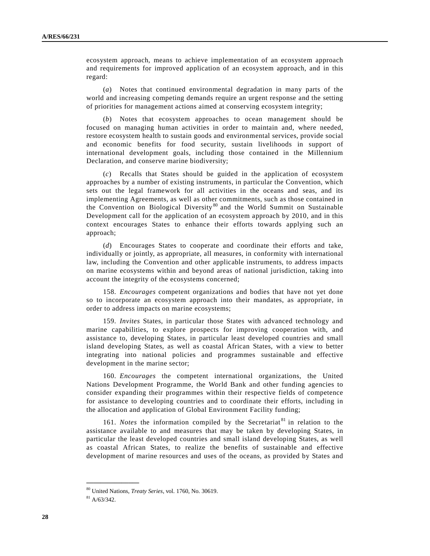ecosystem approach, means to achieve implementation of an ecosystem approach and requirements for improved application of an ecosystem approach, and in this regard:

 (*a*) Notes that continued environmental degradation in many parts of the world and increasing competing demands require an urgent response and the setting of priorities for management actions aimed at conserving ecosystem integrity;

 (*b*) Notes that ecosystem approaches to ocean management should be focused on managing human activities in order to maintain and, where needed, restore ecosystem health to sustain goods and environmental services, provide social and economic benefits for food security, sustain livelihoods in support of international development goals, including those contained in the Millennium Declaration, and conserve marine biodiversity;

 (*c*) Recalls that States should be guided in the application of ecosystem approaches by a number of existing instruments, in particular the Convention, which sets out the legal framework for all activities in the oceans and seas, and its implementing Agreements, as well as other commitments, such as those contained in the Convention on Biological Diversity <sup>80</sup> and the World Summit on Sustainable Development call for the application of an ecosystem approach by 2010, and in this context encourages States to enhance their efforts towards applying such an approach;

 (*d*) Encourages States to cooperate and coordinate their efforts and take, individually or jointly, as appropriate, all measures, in conformity with international law, including the Convention and other applicable instruments, to address impacts on marine ecosystems within and beyond areas of national jurisdiction, taking into account the integrity of the ecosystems concerned;

 158. *Encourages* competent organizations and bodies that have not yet done so to incorporate an ecosystem approach into their mandates, as appropriate, in order to address impacts on marine ecosystems;

 159. *Invites* States, in particular those States with advanced technology and marine capabilities, to explore prospects for improving cooperation with, and assistance to, developing States, in particular least developed countries and small island developing States, as well as coastal African States, with a view to better integrating into national policies and programmes sustainable and effective development in the marine sector;

 160. *Encourages* the competent international organizations, the United Nations Development Programme, the World Bank and other funding agencies to consider expanding their programmes within their respective fields of competence for assistance to developing countries and to coordinate their efforts, including in the allocation and application of Global Environment Facility funding;

161. *Notes* the information compiled by the Secretariat<sup>81</sup> in relation to the assistance available to and measures that may be taken by developing States, in particular the least developed countries and small island developing States, as well as coastal African States, to realize the benefits of sustainable and effective development of marine resources and uses of the oceans, as provided by States and

<sup>80</sup> United Nations, *Treaty Series*, vol. 1760, No. 30619.

 $81$  A/63/342.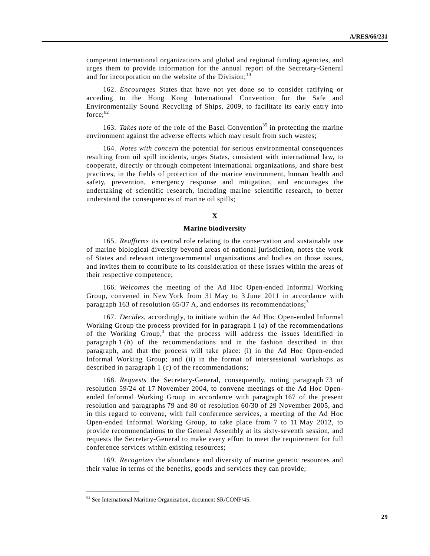competent international organizations and global and regional funding agencies, and urges them to provide information for the annual report of the Secretary-General and for incorporation on the website of the Division; $^{10}$ 

 162. *Encourages* States that have not yet done so to consider ratifying or acceding to the Hong Kong International Convention for the Safe and Environmentally Sound Recycling of Ships, 2009, to facilitate its early entry into force:<sup>82</sup>

163. *Takes note* of the role of the Basel Convention<sup>35</sup> in protecting the marine environment against the adverse effects which may result from such wastes;

 164. *Notes with concern* the potential for serious environmental consequences resulting from oil spill incidents, urges States, consistent with international law, to cooperate, directly or through competent international organizations, and share best practices, in the fields of protection of the marine environment, human health and safety, prevention, emergency response and mitigation, and encourages the undertaking of scientific research, including marine scientific research, to better understand the consequences of marine oil spills;

### **X**

### **Marine biodiversity**

 165. *Reaffirms* its central role relating to the conservation and sustainable use of marine biological diversity beyond areas of national jurisdiction, notes the work of States and relevant intergovernmental organizations and bodies on those issues, and invites them to contribute to its consideration of these issues within the areas of their respective competence;

 166. *Welcomes* the meeting of the Ad Hoc Open-ended Informal Working Group, convened in New York from 31 May to 3 June 2011 in accordance with paragraph 163 of resolution 65/37 A, and endorses its recommendations;<sup>3</sup>

 167. *Decides*, accordingly, to initiate within the Ad Hoc Open-ended Informal Working Group the process provided for in paragraph 1 (*a*) of the recommendations of the Working Group,<sup>3</sup> that the process will address the issues identified in paragraph 1 (*b*) of the recommendations and in the fashion described in that paragraph, and that the process will take place: (i) in the Ad Hoc Open-ended Informal Working Group; and (ii) in the format of intersessional workshops as described in paragraph 1 (*c*) of the recommendations;

 168. *Requests* the Secretary-General, consequently, noting paragraph 73 of resolution 59/24 of 17 November 2004, to convene meetings of the Ad Hoc Openended Informal Working Group in accordance with paragraph 167 of the present resolution and paragraphs 79 and 80 of resolution 60/30 of 29 November 2005, and in this regard to convene, with full conference services, a meeting of the Ad Hoc Open-ended Informal Working Group, to take place from 7 to 11 May 2012, to provide recommendations to the General Assembly at its sixty-seventh session, and requests the Secretary-General to make every effort to meet the requirement for full conference services within existing resources;

 169. *Recognizes* the abundance and diversity of marine genetic resources and their value in terms of the benefits, goods and services they can provide;

<sup>82</sup> See International Maritime Organization, document SR/CONF/45.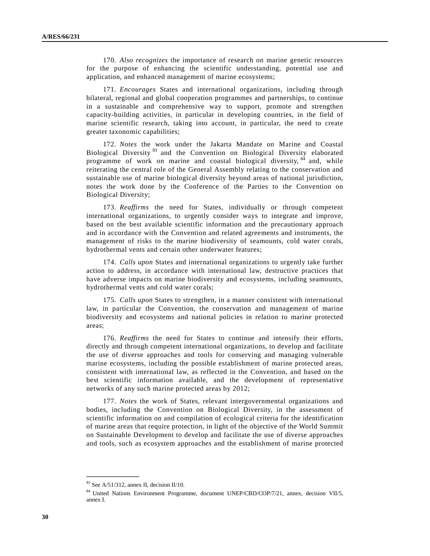170. *Also recognizes* the importance of research on marine genetic resources for the purpose of enhancing the scientific understanding, potential use and application, and enhanced management of marine ecosystems;

 171. *Encourages* States and international organizations, including through bilateral, regional and global cooperation programmes and partnerships, to continue in a sustainable and comprehensive way to support, promote and strengthen capacity-building activities, in particular in developing countries, in the field of marine scientific research, taking into account, in particular, the need to create greater taxonomic capabilities;

 172. *Notes* the work under the Jakarta Mandate on Marine and Coastal Biological Diversity <sup>83</sup> and the Convention on Biological Diversity elaborated programme of work on marine and coastal biological diversity,  $84$  and, while reiterating the central role of the General Assembly relating to the conservation and sustainable use of marine biological diversity beyond areas of national jurisdiction, notes the work done by the Conference of the Parties to the Convention on Biological Diversity;

 173. *Reaffirms* the need for States, individually or through competent international organizations, to urgently consider ways to integrate and improve, based on the best available scientific information and the precautionary approach and in accordance with the Convention and related agreements and instruments, the management of risks to the marine biodiversity of seamounts, cold water corals, hydrothermal vents and certain other underwater features;

 174. *Calls upon* States and international organizations to urgently take further action to address, in accordance with international law, destructive practices that have adverse impacts on marine biodiversity and ecosystems, including seamounts, hydrothermal vents and cold water corals;

 175. *Calls upon* States to strengthen, in a manner consistent with international law, in particular the Convention, the conservation and management of marine biodiversity and ecosystems and national policies in relation to marine protected areas;

 176. *Reaffirms* the need for States to continue and intensify their efforts, directly and through competent international organizations, to develop and facilitate the use of diverse approaches and tools for conserving and managing vulnerable marine ecosystems, including the possible establishment of marine protected areas, consistent with international law, as reflected in the Convention, and based on the best scientific information available, and the development of representative networks of any such marine protected areas by 2012;

 177. *Notes* the work of States, relevant intergovernmental organizations and bodies, including the Convention on Biological Diversity, in the assessment of scientific information on and compilation of ecological criteria for the identification of marine areas that require protection, in light of the objective of the World Summit on Sustainable Development to develop and facilitate the use of diverse approaches and tools, such as ecosystem approaches and the establishment of marine protected

 $83$  See A/51/312, annex II, decision II/10.

<sup>84</sup> United Nations Environment Programme, document UNEP/CBD/COP/7/21, annex, decision VII/5, annex I.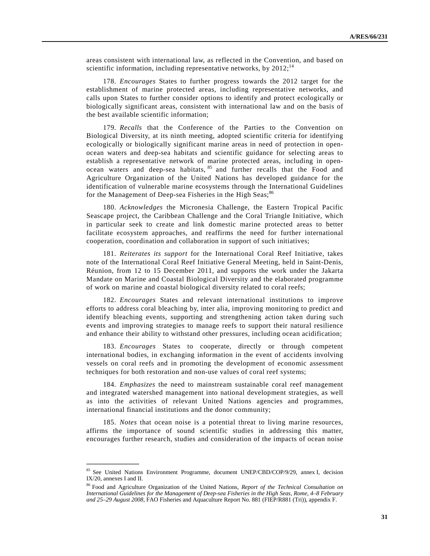areas consistent with international law, as reflected in the Convention, and based on scientific information, including representative networks, by  $2012$ ;<sup>14</sup>

 178. *Encourages* States to further progress towards the 2012 target for the establishment of marine protected areas, including representative networks, and calls upon States to further consider options to identify and protect ecologically or biologically significant areas, consistent with international law and on the basis of the best available scientific information;

 179. *Recalls* that the Conference of the Parties to the Convention on Biological Diversity, at its ninth meeting, adopted scientific criteria for identifying ecologically or biologically significant marine areas in need of protection in openocean waters and deep-sea habitats and scientific guidance for selecting areas to establish a representative network of marine protected areas, including in openocean waters and deep-sea habitats, <sup>85</sup> and further recalls that the Food and Agriculture Organization of the United Nations has developed guidance for the identification of vulnerable marine ecosystems through the International Guidelines for the Management of Deep-sea Fisheries in the High Seas;<sup>86</sup>

 180. *Acknowledges* the Micronesia Challenge, the Eastern Tropical Pacific Seascape project, the Caribbean Challenge and the Coral Triangle Initiative, which in particular seek to create and link domestic marine protected areas to better facilitate ecosystem approaches, and reaffirms the need for further international cooperation, coordination and collaboration in support of such initiatives;

 181. *Reiterates its support* for the International Coral Reef Initiative, takes note of the International Coral Reef Initiative General Meeting, held in Saint-Denis, Réunion, from 12 to 15 December 2011, and supports the work under the Jakarta Mandate on Marine and Coastal Biological Diversity and the elaborated programme of work on marine and coastal biological diversity related to coral reefs;

 182. *Encourages* States and relevant international institutions to improve efforts to address coral bleaching by, inter alia, improving monitoring to predict and identify bleaching events, supporting and strengthening action taken during such events and improving strategies to manage reefs to support their natural resilience and enhance their ability to withstand other pressures, including ocean acidification;

 183. *Encourages* States to cooperate, directly or through competent international bodies, in exchanging information in the event of accidents involving vessels on coral reefs and in promoting the development of economic assessment techniques for both restoration and non-use values of coral reef systems;

 184. *Emphasizes* the need to mainstream sustainable coral reef management and integrated watershed management into national development strategies, as well as into the activities of relevant United Nations agencies and programmes, international financial institutions and the donor community;

 185. *Notes* that ocean noise is a potential threat to living marine resources, affirms the importance of sound scientific studies in addressing this matter, encourages further research, studies and consideration of the impacts of ocean noise

<sup>85</sup> See United Nations Environment Programme, document UNEP/CBD/COP/9/29, annex I, decision IX/20, annexes I and II.

<sup>86</sup> Food and Agriculture Organization of the United Nations, *Report of the Technical Consultation on International Guidelines for the Management of Deep-sea Fisheries in the High Seas, Rome, 4–8 February and 25–29 August 2008*, FAO Fisheries and Aquaculture Report No. 881 (FIEP/R881 (Tri)), appendix F.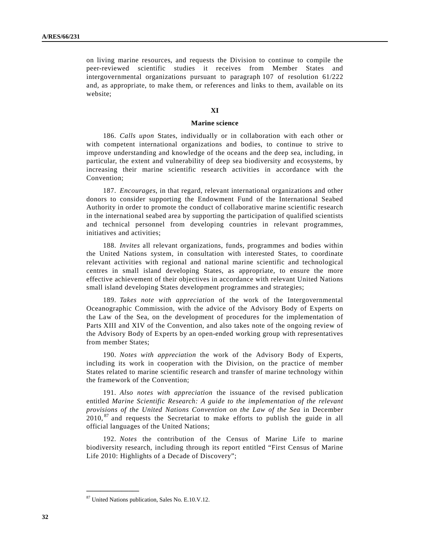on living marine resources, and requests the Division to continue to compile the peer-reviewed scientific studies it receives from Member States and intergovernmental organizations pursuant to paragraph 107 of resolution 61/222 and, as appropriate, to make them, or references and links to them, available on its website;

### **XI**

### **Marine science**

 186. *Calls upon* States, individually or in collaboration with each other or with competent international organizations and bodies, to continue to strive to improve understanding and knowledge of the oceans and the deep sea, including, in particular, the extent and vulnerability of deep sea biodiversity and ecosystems, by increasing their marine scientific research activities in accordance with the Convention;

 187. *Encourages*, in that regard, relevant international organizations and other donors to consider supporting the Endowment Fund of the International Seabed Authority in order to promote the conduct of collaborative marine scientific research in the international seabed area by supporting the participation of qualified scientists and technical personnel from developing countries in relevant programmes, initiatives and activities;

 188. *Invites* all relevant organizations, funds, programmes and bodies within the United Nations system, in consultation with interested States, to coordinate relevant activities with regional and national marine scientific and technological centres in small island developing States, as appropriate, to ensure the more effective achievement of their objectives in accordance with relevant United Nations small island developing States development programmes and strategies;

 189. *Takes note with appreciation* of the work of the Intergovernmental Oceanographic Commission, with the advice of the Advisory Body of Experts on the Law of the Sea, on the development of procedures for the implementation of Parts XIII and XIV of the Convention, and also takes note of the ongoing review of the Advisory Body of Experts by an open-ended working group with representatives from member States;

 190. *Notes with appreciation* the work of the Advisory Body of Experts, including its work in cooperation with the Division, on the practice of member States related to marine scientific research and transfer of marine technology within the framework of the Convention;

 191. *Also notes with appreciation* the issuance of the revised publication entitled *Marine Scientific Research: A guide to the implementation of the relevant provisions of the United Nations Convention on the Law of the Sea* in December  $2010$ ,  $87$  and requests the Secretariat to make efforts to publish the guide in all official languages of the United Nations;

 192. *Notes* the contribution of the Census of Marine Life to marine biodiversity research, including through its report entitled "First Census of Marine Life 2010: Highlights of a Decade of Discovery";

<sup>87</sup> United Nations publication, Sales No. E.10.V.12.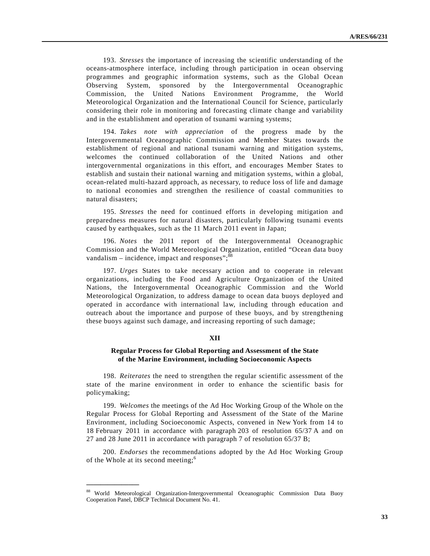193. *Stresses* the importance of increasing the scientific understanding of the oceans-atmosphere interface, including through participation in ocean observing programmes and geographic information systems, such as the Global Ocean Observing System, sponsored by the Intergovernmental Oceanographic Commission, the United Nations Environment Programme, the World Meteorological Organization and the International Council for Science, particularly considering their role in monitoring and forecasting climate change and variability and in the establishment and operation of tsunami warning systems;

 194. *Takes note with appreciation* of the progress made by the Intergovernmental Oceanographic Commission and Member States towards the establishment of regional and national tsunami warning and mitigation systems, welcomes the continued collaboration of the United Nations and other intergovernmental organizations in this effort, and encourages Member States to establish and sustain their national warning and mitigation systems, within a global, ocean-related multi-hazard approach, as necessary, to reduce loss of life and damage to national economies and strengthen the resilience of coastal communities to natural disasters;

 195. *Stresses* the need for continued efforts in developing mitigation and preparedness measures for natural disasters, particularly following tsunami events caused by earthquakes, such as the 11 March 2011 event in Japan;

 196. *Notes* the 2011 report of the Intergovernmental Oceanographic Commission and the World Meteorological Organization, entitled "Ocean data buoy vandalism – incidence, impact and responses"; $^{\overline{88}}$ 

 197. *Urges* States to take necessary action and to cooperate in relevant organizations, including the Food and Agriculture Organization of the United Nations, the Intergovernmental Oceanographic Commission and the World Meteorological Organization, to address damage to ocean data buoys deployed and operated in accordance with international law, including through education and outreach about the importance and purpose of these buoys, and by strengthening these buoys against such damage, and increasing reporting of such damage;

### **XII**

### **Regular Process for Global Reporting and Assessment of the State of the Marine Environment, including Socioeconomic Aspects**

 198. *Reiterates* the need to strengthen the regular scientific assessment of the state of the marine environment in order to enhance the scientific basis for policymaking;

 199. *Welcomes* the meetings of the Ad Hoc Working Group of the Whole on the Regular Process for Global Reporting and Assessment of the State of the Marine Environment, including Socioeconomic Aspects, convened in New York from 14 to 18 February 2011 in accordance with paragraph 203 of resolution 65/37 A and on 27 and 28 June 2011 in accordance with paragraph 7 of resolution 65/37 B;

 200. *Endorses* the recommendations adopted by the Ad Hoc Working Group of the Whole at its second meeting;<sup>6</sup>

<sup>88</sup> World Meteorological Organization-Intergovernmental Oceanographic Commission Data Buoy Cooperation Panel, DBCP Technical Document No. 41.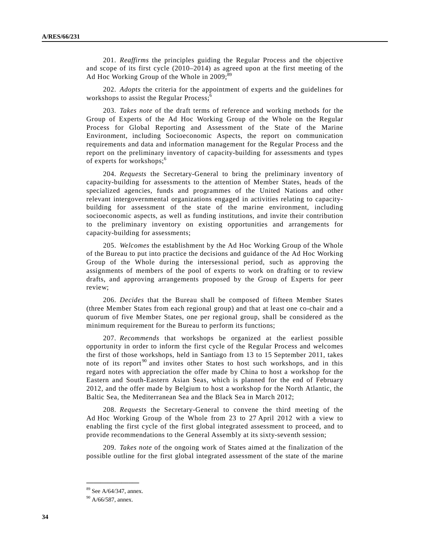201. *Reaffirms* the principles guiding the Regular Process and the objective and scope of its first cycle (2010–2014) as agreed upon at the first meeting of the Ad Hoc Working Group of the Whole in 2009;<sup>89</sup>

 202. *Adopts* the criteria for the appointment of experts and the guidelines for workshops to assist the Regular Process;<sup>6</sup>

 203. *Takes note* of the draft terms of reference and working methods for the Group of Experts of the Ad Hoc Working Group of the Whole on the Regular Process for Global Reporting and Assessment of the State of the Marine Environment, including Socioeconomic Aspects, the report on communication requirements and data and information management for the Regular Process and the report on the preliminary inventory of capacity-building for assessments and types of experts for workshops;<sup>6</sup>

 204. *Requests* the Secretary-General to bring the preliminary inventory of capacity-building for assessments to the attention of Member States, heads of the specialized agencies, funds and programmes of the United Nations and other relevant intergovernmental organizations engaged in activities relating to capacitybuilding for assessment of the state of the marine environment, including socioeconomic aspects, as well as funding institutions, and invite their contribution to the preliminary inventory on existing opportunities and arrangements for capacity-building for assessments;

 205. *Welcomes* the establishment by the Ad Hoc Working Group of the Whole of the Bureau to put into practice the decisions and guidance of the Ad Hoc Working Group of the Whole during the intersessional period, such as approving the assignments of members of the pool of experts to work on drafting or to review drafts, and approving arrangements proposed by the Group of Experts for peer review;

 206. *Decides* that the Bureau shall be composed of fifteen Member States (three Member States from each regional group) and that at least one co-chair and a quorum of five Member States, one per regional group, shall be considered as the minimum requirement for the Bureau to perform its functions;

 207. *Recommends* that workshops be organized at the earliest possible opportunity in order to inform the first cycle of the Regular Process and welcomes the first of those workshops, held in Santiago from 13 to 15 September 2011, takes note of its report<sup>90</sup> and invites other States to host such workshops, and in this regard notes with appreciation the offer made by China to host a workshop for the Eastern and South-Eastern Asian Seas, which is planned for the end of February 2012, and the offer made by Belgium to host a workshop for the North Atlantic, the Baltic Sea, the Mediterranean Sea and the Black Sea in March 2012;

 208. *Requests* the Secretary-General to convene the third meeting of the Ad Hoc Working Group of the Whole from 23 to 27 April 2012 with a view to enabling the first cycle of the first global integrated assessment to proceed, and to provide recommendations to the General Assembly at its sixty-seventh session;

 209. *Takes note* of the ongoing work of States aimed at the finalization of the possible outline for the first global integrated assessment of the state of the marine

**\_\_\_\_\_\_\_\_\_\_\_\_\_\_\_**  <sup>89</sup> See A/64/347, annex.

 $90$  A/66/587, annex.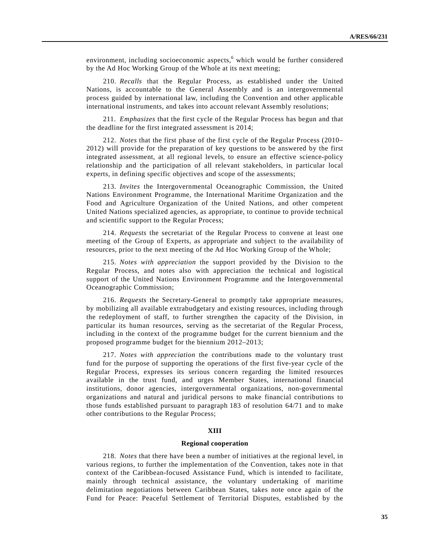environment, including socioeconomic aspects,  $6$  which would be further considered by the Ad Hoc Working Group of the Whole at its next meeting;

 210. *Recalls* that the Regular Process, as established under the United Nations, is accountable to the General Assembly and is an intergovernmental process guided by international law, including the Convention and other applicable international instruments, and takes into account relevant Assembly resolutions;

 211. *Emphasizes* that the first cycle of the Regular Process has begun and that the deadline for the first integrated assessment is 2014;

 212. *Notes* that the first phase of the first cycle of the Regular Process (2010– 2012) will provide for the preparation of key questions to be answered by the first integrated assessment, at all regional levels, to ensure an effective science-policy relationship and the participation of all relevant stakeholders, in particular local experts, in defining specific objectives and scope of the assessments;

 213. *Invites* the Intergovernmental Oceanographic Commission, the United Nations Environment Programme, the International Maritime Organization and the Food and Agriculture Organization of the United Nations, and other competent United Nations specialized agencies, as appropriate, to continue to provide technical and scientific support to the Regular Process;

 214. *Requests* the secretariat of the Regular Process to convene at least one meeting of the Group of Experts, as appropriate and subject to the availability of resources, prior to the next meeting of the Ad Hoc Working Group of the Whole;

 215. *Notes with appreciation* the support provided by the Division to the Regular Process, and notes also with appreciation the technical and logistical support of the United Nations Environment Programme and the Intergovernmental Oceanographic Commission;

 216. *Requests* the Secretary-General to promptly take appropriate measures, by mobilizing all available extrabudgetary and existing resources, including through the redeployment of staff, to further strengthen the capacity of the Division, in particular its human resources, serving as the secretariat of the Regular Process, including in the context of the programme budget for the current biennium and the proposed programme budget for the biennium 2012–2013;

 217. *Notes with appreciation* the contributions made to the voluntary trust fund for the purpose of supporting the operations of the first five-year cycle of the Regular Process, expresses its serious concern regarding the limited resources available in the trust fund, and urges Member States, international financial institutions, donor agencies, intergovernmental organizations, non-governmental organizations and natural and juridical persons to make financial contributions to those funds established pursuant to paragraph 183 of resolution 64/71 and to make other contributions to the Regular Process;

#### **XIII**

#### **Regional cooperation**

 218. *Notes* that there have been a number of initiatives at the regional level, in various regions, to further the implementation of the Convention, takes note in that context of the Caribbean-focused Assistance Fund, which is intended to facilitate, mainly through technical assistance, the voluntary undertaking of maritime delimitation negotiations between Caribbean States, takes note once again of the Fund for Peace: Peaceful Settlement of Territorial Disputes, established by the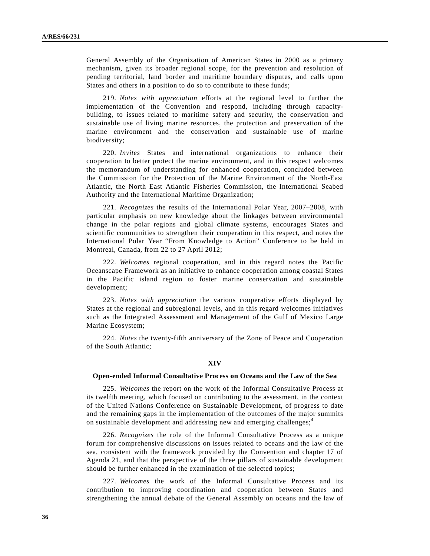General Assembly of the Organization of American States in 2000 as a primary mechanism, given its broader regional scope, for the prevention and resolution of pending territorial, land border and maritime boundary disputes, and calls upon States and others in a position to do so to contribute to these funds;

 219. *Notes with appreciation* efforts at the regional level to further the implementation of the Convention and respond, including through capacitybuilding, to issues related to maritime safety and security, the conservation and sustainable use of living marine resources, the protection and preservation of the marine environment and the conservation and sustainable use of marine biodiversity;

 220. *Invites* States and international organizations to enhance their cooperation to better protect the marine environment, and in this respect welcomes the memorandum of understanding for enhanced cooperation, concluded between the Commission for the Protection of the Marine Environment of the North-East Atlantic, the North East Atlantic Fisheries Commission, the International Seabed Authority and the International Maritime Organization;

 221. *Recognizes* the results of the International Polar Year, 2007–2008, with particular emphasis on new knowledge about the linkages between environmental change in the polar regions and global climate systems, encourages States and scientific communities to strengthen their cooperation in this respect, and notes the International Polar Year "From Knowledge to Action" Conference to be held in Montreal, Canada, from 22 to 27 April 2012;

 222. *Welcomes* regional cooperation, and in this regard notes the Pacific Oceanscape Framework as an initiative to enhance cooperation among coastal States in the Pacific island region to foster marine conservation and sustainable development;

 223. *Notes with appreciation* the various cooperative efforts displayed by States at the regional and subregional levels, and in this regard welcomes initiatives such as the Integrated Assessment and Management of the Gulf of Mexico Large Marine Ecosystem;

 224. *Notes* the twenty-fifth anniversary of the Zone of Peace and Cooperation of the South Atlantic;

#### **XIV**

#### **Open-ended Informal Consultative Process on Oceans and the Law of the Sea**

 225. *Welcomes* the report on the work of the Informal Consultative Process at its twelfth meeting, which focused on contributing to the assessment, in the context of the United Nations Conference on Sustainable Development, of progress to date and the remaining gaps in the implementation of the outcomes of the major summits on sustainable development and addressing new and emerging challenges;<sup>4</sup>

 226. *Recognizes* the role of the Informal Consultative Process as a unique forum for comprehensive discussions on issues related to oceans and the law of the sea, consistent with the framework provided by the Convention and chapter 17 of Agenda 21, and that the perspective of the three pillars of sustainable development should be further enhanced in the examination of the selected topics;

 227. *Welcomes* the work of the Informal Consultative Process and its contribution to improving coordination and cooperation between States and strengthening the annual debate of the General Assembly on oceans and the law of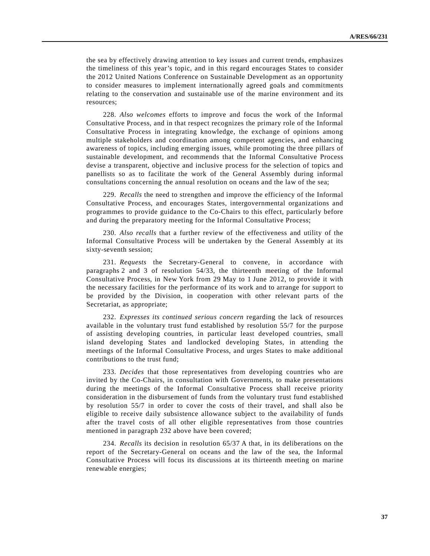the sea by effectively drawing attention to key issues and current trends, emphasizes the timeliness of this year's topic, and in this regard encourages States to consider the 2012 United Nations Conference on Sustainable Development as an opportunity to consider measures to implement internationally agreed goals and commitments relating to the conservation and sustainable use of the marine environment and its resources;

 228. *Also welcomes* efforts to improve and focus the work of the Informal Consultative Process, and in that respect recognizes the primary role of the Informal Consultative Process in integrating knowledge, the exchange of opinions among multiple stakeholders and coordination among competent agencies, and enhancing awareness of topics, including emerging issues, while promoting the three pillars of sustainable development, and recommends that the Informal Consultative Process devise a transparent, objective and inclusive process for the selection of topics and panellists so as to facilitate the work of the General Assembly during informal consultations concerning the annual resolution on oceans and the law of the sea;

 229. *Recalls* the need to strengthen and improve the efficiency of the Informal Consultative Process, and encourages States, intergovernmental organizations and programmes to provide guidance to the Co-Chairs to this effect, particularly before and during the preparatory meeting for the Informal Consultative Process;

 230. *Also recalls* that a further review of the effectiveness and utility of the Informal Consultative Process will be undertaken by the General Assembly at its sixty-seventh session;

 231. *Requests* the Secretary-General to convene, in accordance with paragraphs 2 and 3 of resolution 54/33, the thirteenth meeting of the Informal Consultative Process, in New York from 29 May to 1 June 2012, to provide it with the necessary facilities for the performance of its work and to arrange for support to be provided by the Division, in cooperation with other relevant parts of the Secretariat, as appropriate;

 232. *Expresses its continued serious concern* regarding the lack of resources available in the voluntary trust fund established by resolution 55/7 for the purpose of assisting developing countries, in particular least developed countries, small island developing States and landlocked developing States, in attending the meetings of the Informal Consultative Process, and urges States to make additional contributions to the trust fund;

 233. *Decides* that those representatives from developing countries who are invited by the Co-Chairs, in consultation with Governments, to make presentations during the meetings of the Informal Consultative Process shall receive priority consideration in the disbursement of funds from the voluntary trust fund established by resolution 55/7 in order to cover the costs of their travel, and shall also be eligible to receive daily subsistence allowance subject to the availability of funds after the travel costs of all other eligible representatives from those countries mentioned in paragraph 232 above have been covered;

 234. *Recalls* its decision in resolution 65/37 A that, in its deliberations on the report of the Secretary-General on oceans and the law of the sea, the Informal Consultative Process will focus its discussions at its thirteenth meeting on marine renewable energies;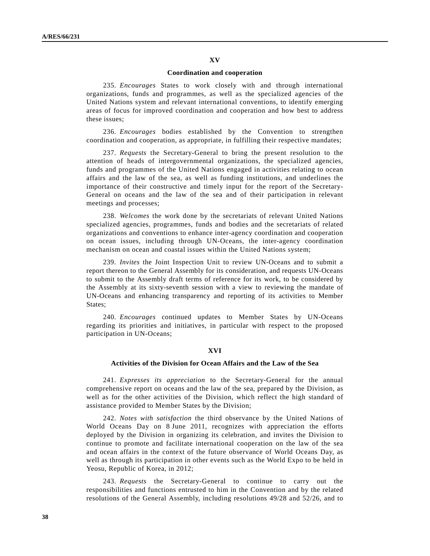#### **XV**

### **Coordination and cooperation**

 235. *Encourages* States to work closely with and through international organizations, funds and programmes, as well as the specialized agencies of the United Nations system and relevant international conventions, to identify emerging areas of focus for improved coordination and cooperation and how best to address these issues;

 236. *Encourages* bodies established by the Convention to strengthen coordination and cooperation, as appropriate, in fulfilling their respective mandates;

 237. *Requests* the Secretary-General to bring the present resolution to the attention of heads of intergovernmental organizations, the specialized agencies, funds and programmes of the United Nations engaged in activities relating to ocean affairs and the law of the sea, as well as funding institutions, and underlines the importance of their constructive and timely input for the report of the Secretary-General on oceans and the law of the sea and of their participation in relevant meetings and processes;

 238. *Welcomes* the work done by the secretariats of relevant United Nations specialized agencies, programmes, funds and bodies and the secretariats of related organizations and conventions to enhance inter-agency coordination and cooperation on ocean issues, including through UN-Oceans, the inter-agency coordination mechanism on ocean and coastal issues within the United Nations system;

 239. *Invites* the Joint Inspection Unit to review UN-Oceans and to submit a report thereon to the General Assembly for its consideration, and requests UN-Oceans to submit to the Assembly draft terms of reference for its work, to be considered by the Assembly at its sixty-seventh session with a view to reviewing the mandate of UN-Oceans and enhancing transparency and reporting of its activities to Member States;

 240. *Encourages* continued updates to Member States by UN-Oceans regarding its priorities and initiatives, in particular with respect to the proposed participation in UN-Oceans;

#### **XVI**

### **Activities of the Division for Ocean Affairs and the Law of the Sea**

 241. *Expresses its appreciation* to the Secretary-General for the annual comprehensive report on oceans and the law of the sea, prepared by the Division, as well as for the other activities of the Division, which reflect the high standard of assistance provided to Member States by the Division;

 242. *Notes with satisfaction* the third observance by the United Nations of World Oceans Day on 8 June 2011, recognizes with appreciation the efforts deployed by the Division in organizing its celebration, and invites the Division to continue to promote and facilitate international cooperation on the law of the sea and ocean affairs in the context of the future observance of World Oceans Day, as well as through its participation in other events such as the World Expo to be held in Yeosu, Republic of Korea, in 2012;

 243. *Requests* the Secretary-General to continue to carry out the responsibilities and functions entrusted to him in the Convention and by the related resolutions of the General Assembly, including resolutions 49/28 and 52/26, and to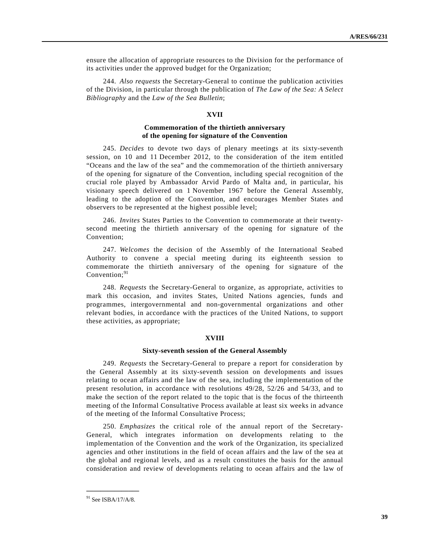ensure the allocation of appropriate resources to the Division for the performance of its activities under the approved budget for the Organization;

 244. *Also requests* the Secretary-General to continue the publication activities of the Division, in particular through the publication of *The Law of the Sea: A Select Bibliography* and the *Law of the Sea Bulletin*;

### **XVII**

### **Commemoration of the thirtieth anniversary of the opening for signature of the Convention**

 245. *Decides* to devote two days of plenary meetings at its sixty-seventh session, on 10 and 11 December 2012, to the consideration of the item entitled "Oceans and the law of the sea" and the commemoration of the thirtieth anniversary of the opening for signature of the Convention, including special recognition of the crucial role played by Ambassador Arvid Pardo of Malta and, in particular, his visionary speech delivered on 1 November 1967 before the General Assembly, leading to the adoption of the Convention, and encourages Member States and observers to be represented at the highest possible level;

 246. *Invites* States Parties to the Convention to commemorate at their twentysecond meeting the thirtieth anniversary of the opening for signature of the Convention;

 247. *Welcomes* the decision of the Assembly of the International Seabed Authority to convene a special meeting during its eighteenth session to commemorate the thirtieth anniversary of the opening for signature of the Convention: $91$ 

 248. *Requests* the Secretary-General to organize, as appropriate, activities to mark this occasion, and invites States, United Nations agencies, funds and programmes, intergovernmental and non-governmental organizations and other relevant bodies, in accordance with the practices of the United Nations, to support these activities, as appropriate;

#### **XVIII**

#### **Sixty-seventh session of the General Assembly**

 249. *Requests* the Secretary-General to prepare a report for consideration by the General Assembly at its sixty-seventh session on developments and issues relating to ocean affairs and the law of the sea, including the implementation of the present resolution, in accordance with resolutions 49/28, 52/26 and 54/33, and to make the section of the report related to the topic that is the focus of the thirteenth meeting of the Informal Consultative Process available at least six weeks in advance of the meeting of the Informal Consultative Process;

 250. *Emphasizes* the critical role of the annual report of the Secretary-General, which integrates information on developments relating to the implementation of the Convention and the work of the Organization, its specialized agencies and other institutions in the field of ocean affairs and the law of the sea at the global and regional levels, and as a result constitutes the basis for the annual consideration and review of developments relating to ocean affairs and the law of

**\_\_\_\_\_\_\_\_\_\_\_\_\_\_\_**  <sup>91</sup> See ISBA/17/A/8.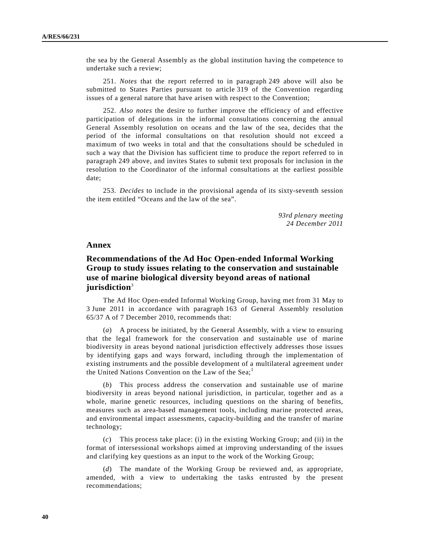the sea by the General Assembly as the global institution having the competence to undertake such a review;

 251. *Notes* that the report referred to in paragraph 249 above will also be submitted to States Parties pursuant to article 319 of the Convention regarding issues of a general nature that have arisen with respect to the Convention;

 252. *Also notes* the desire to further improve the efficiency of and effective participation of delegations in the informal consultations concerning the annual General Assembly resolution on oceans and the law of the sea, decides that the period of the informal consultations on that resolution should not exceed a maximum of two weeks in total and that the consultations should be scheduled in such a way that the Division has sufficient time to produce the report referred to in paragraph 249 above, and invites States to submit text proposals for inclusion in the resolution to the Coordinator of the informal consultations at the earliest possible date;

 253. *Decides* to include in the provisional agenda of its sixty-seventh session the item entitled "Oceans and the law of the sea".

> *93rd plenary meeting 24 December 2011*

### **Annex**

## **Recommendations of the Ad Hoc Open-ended Informal Working Group to study issues relating to the conservation and sustainable use of marine biological diversity beyond areas of national jurisdiction**<sup>3</sup>

 The Ad Hoc Open-ended Informal Working Group, having met from 31 May to 3 June 2011 in accordance with paragraph 163 of General Assembly resolution 65/37 A of 7 December 2010, recommends that:

 (*a*) A process be initiated, by the General Assembly, with a view to ensuring that the legal framework for the conservation and sustainable use of marine biodiversity in areas beyond national jurisdiction effectively addresses those issues by identifying gaps and ways forward, including through the implementation of existing instruments and the possible development of a multilateral agreement under the United Nations Convention on the Law of the Sea;<sup>1</sup>

 (*b*) This process address the conservation and sustainable use of marine biodiversity in areas beyond national jurisdiction, in particular, together and as a whole, marine genetic resources, including questions on the sharing of benefits, measures such as area-based management tools, including marine protected areas, and environmental impact assessments, capacity-building and the transfer of marine technology;

 (*c*) This process take place: (i) in the existing Working Group; and (ii) in the format of intersessional workshops aimed at improving understanding of the issues and clarifying key questions as an input to the work of the Working Group;

 (*d*) The mandate of the Working Group be reviewed and, as appropriate, amended, with a view to undertaking the tasks entrusted by the present recommendations;